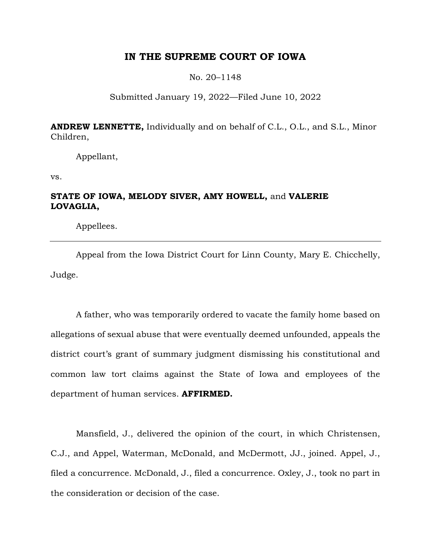# **IN THE SUPREME COURT OF IOWA**

### No. 20–1148

# Submitted January 19, 2022—Filed June 10, 2022

**ANDREW LENNETTE,** Individually and on behalf of C.L., O.L., and S.L., Minor Children,

Appellant,

vs.

# **STATE OF IOWA, MELODY SIVER, AMY HOWELL,** and **VALERIE LOVAGLIA,**

Appellees.

Appeal from the Iowa District Court for Linn County, Mary E. Chicchelly, Judge.

A father, who was temporarily ordered to vacate the family home based on allegations of sexual abuse that were eventually deemed unfounded, appeals the district court's grant of summary judgment dismissing his constitutional and common law tort claims against the State of Iowa and employees of the department of human services. **AFFIRMED.**

Mansfield, J., delivered the opinion of the court, in which Christensen, C.J., and Appel, Waterman, McDonald, and McDermott, JJ., joined. Appel, J., filed a concurrence. McDonald, J., filed a concurrence. Oxley, J., took no part in the consideration or decision of the case.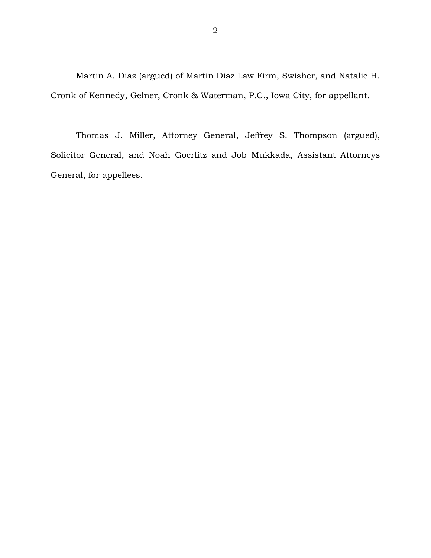Martin A. Diaz (argued) of Martin Diaz Law Firm, Swisher, and Natalie H. Cronk of Kennedy, Gelner, Cronk & Waterman, P.C., Iowa City, for appellant.

Thomas J. Miller, Attorney General, Jeffrey S. Thompson (argued), Solicitor General, and Noah Goerlitz and Job Mukkada, Assistant Attorneys General, for appellees.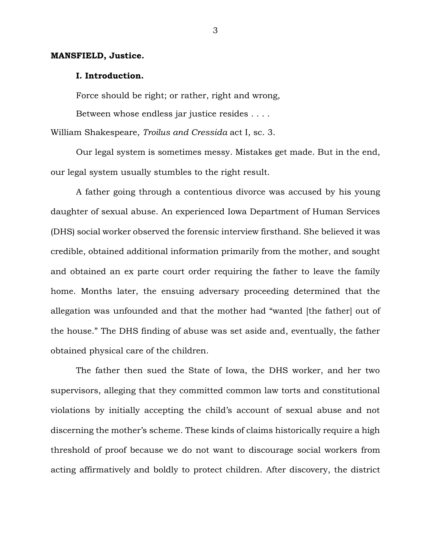### **MANSFIELD, Justice.**

### **I. Introduction.**

Force should be right; or rather, right and wrong,

Between whose endless jar justice resides . . . .

William Shakespeare, *Troilus and Cressida* act I, sc. 3.

Our legal system is sometimes messy. Mistakes get made. But in the end, our legal system usually stumbles to the right result.

A father going through a contentious divorce was accused by his young daughter of sexual abuse. An experienced Iowa Department of Human Services (DHS) social worker observed the forensic interview firsthand. She believed it was credible, obtained additional information primarily from the mother, and sought and obtained an ex parte court order requiring the father to leave the family home. Months later, the ensuing adversary proceeding determined that the allegation was unfounded and that the mother had "wanted [the father] out of the house." The DHS finding of abuse was set aside and, eventually, the father obtained physical care of the children.

The father then sued the State of Iowa, the DHS worker, and her two supervisors, alleging that they committed common law torts and constitutional violations by initially accepting the child's account of sexual abuse and not discerning the mother's scheme. These kinds of claims historically require a high threshold of proof because we do not want to discourage social workers from acting affirmatively and boldly to protect children. After discovery, the district

3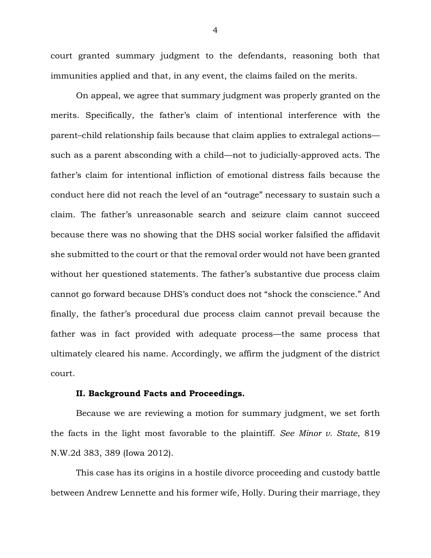court granted summary judgment to the defendants, reasoning both that immunities applied and that, in any event, the claims failed on the merits.

On appeal, we agree that summary judgment was properly granted on the merits. Specifically, the father's claim of intentional interference with the parent–child relationship fails because that claim applies to extralegal actions such as a parent absconding with a child—not to judicially-approved acts. The father's claim for intentional infliction of emotional distress fails because the conduct here did not reach the level of an "outrage" necessary to sustain such a claim. The father's unreasonable search and seizure claim cannot succeed because there was no showing that the DHS social worker falsified the affidavit she submitted to the court or that the removal order would not have been granted without her questioned statements. The father's substantive due process claim cannot go forward because DHS's conduct does not "shock the conscience." And finally, the father's procedural due process claim cannot prevail because the father was in fact provided with adequate process—the same process that ultimately cleared his name. Accordingly, we affirm the judgment of the district court.

#### **II. Background Facts and Proceedings.**

Because we are reviewing a motion for summary judgment, we set forth the facts in the light most favorable to the plaintiff. *See Minor v. State*, 819 N.W.2d 383, 389 (Iowa 2012).

This case has its origins in a hostile divorce proceeding and custody battle between Andrew Lennette and his former wife, Holly. During their marriage, they

4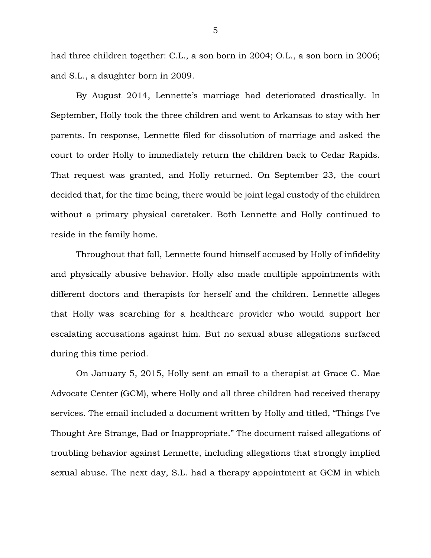had three children together: C.L., a son born in 2004; O.L., a son born in 2006; and S.L., a daughter born in 2009.

By August 2014, Lennette's marriage had deteriorated drastically. In September, Holly took the three children and went to Arkansas to stay with her parents. In response, Lennette filed for dissolution of marriage and asked the court to order Holly to immediately return the children back to Cedar Rapids. That request was granted, and Holly returned. On September 23, the court decided that, for the time being, there would be joint legal custody of the children without a primary physical caretaker. Both Lennette and Holly continued to reside in the family home.

Throughout that fall, Lennette found himself accused by Holly of infidelity and physically abusive behavior. Holly also made multiple appointments with different doctors and therapists for herself and the children. Lennette alleges that Holly was searching for a healthcare provider who would support her escalating accusations against him. But no sexual abuse allegations surfaced during this time period.

On January 5, 2015, Holly sent an email to a therapist at Grace C. Mae Advocate Center (GCM), where Holly and all three children had received therapy services. The email included a document written by Holly and titled, "Things I've Thought Are Strange, Bad or Inappropriate." The document raised allegations of troubling behavior against Lennette, including allegations that strongly implied sexual abuse. The next day, S.L. had a therapy appointment at GCM in which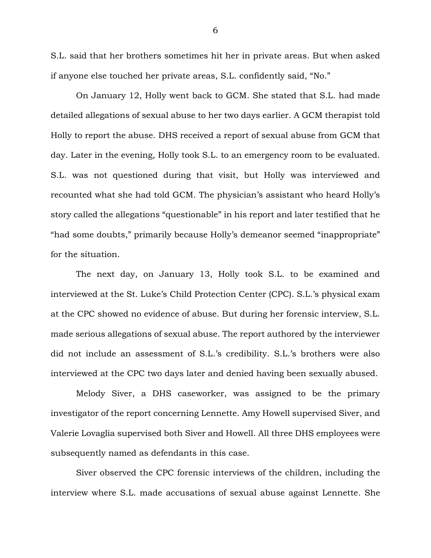S.L. said that her brothers sometimes hit her in private areas. But when asked if anyone else touched her private areas, S.L. confidently said, "No."

On January 12, Holly went back to GCM. She stated that S.L. had made detailed allegations of sexual abuse to her two days earlier. A GCM therapist told Holly to report the abuse. DHS received a report of sexual abuse from GCM that day. Later in the evening, Holly took S.L. to an emergency room to be evaluated. S.L. was not questioned during that visit, but Holly was interviewed and recounted what she had told GCM. The physician's assistant who heard Holly's story called the allegations "questionable" in his report and later testified that he "had some doubts," primarily because Holly's demeanor seemed "inappropriate" for the situation.

The next day, on January 13, Holly took S.L. to be examined and interviewed at the St. Luke's Child Protection Center (CPC). S.L.'s physical exam at the CPC showed no evidence of abuse. But during her forensic interview, S.L. made serious allegations of sexual abuse. The report authored by the interviewer did not include an assessment of S.L.'s credibility. S.L.'s brothers were also interviewed at the CPC two days later and denied having been sexually abused.

Melody Siver, a DHS caseworker, was assigned to be the primary investigator of the report concerning Lennette. Amy Howell supervised Siver, and Valerie Lovaglia supervised both Siver and Howell. All three DHS employees were subsequently named as defendants in this case.

Siver observed the CPC forensic interviews of the children, including the interview where S.L. made accusations of sexual abuse against Lennette. She

6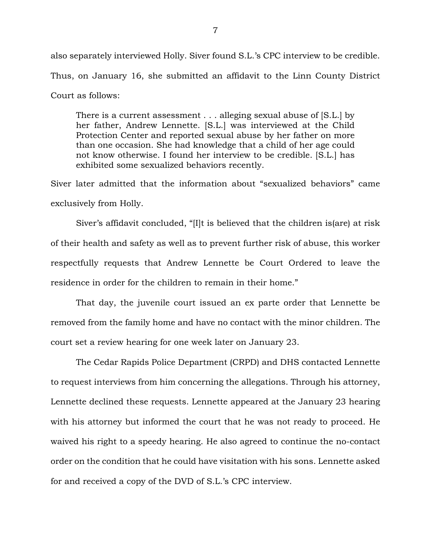also separately interviewed Holly. Siver found S.L.'s CPC interview to be credible. Thus, on January 16, she submitted an affidavit to the Linn County District Court as follows:

There is a current assessment . . . alleging sexual abuse of [S.L.] by her father, Andrew Lennette. [S.L.] was interviewed at the Child Protection Center and reported sexual abuse by her father on more than one occasion. She had knowledge that a child of her age could not know otherwise. I found her interview to be credible. [S.L.] has exhibited some sexualized behaviors recently.

Siver later admitted that the information about "sexualized behaviors" came exclusively from Holly.

Siver's affidavit concluded, "[I]t is believed that the children is(are) at risk of their health and safety as well as to prevent further risk of abuse, this worker respectfully requests that Andrew Lennette be Court Ordered to leave the residence in order for the children to remain in their home."

That day, the juvenile court issued an ex parte order that Lennette be removed from the family home and have no contact with the minor children. The court set a review hearing for one week later on January 23.

The Cedar Rapids Police Department (CRPD) and DHS contacted Lennette to request interviews from him concerning the allegations. Through his attorney, Lennette declined these requests. Lennette appeared at the January 23 hearing with his attorney but informed the court that he was not ready to proceed. He waived his right to a speedy hearing. He also agreed to continue the no-contact order on the condition that he could have visitation with his sons. Lennette asked for and received a copy of the DVD of S.L.'s CPC interview.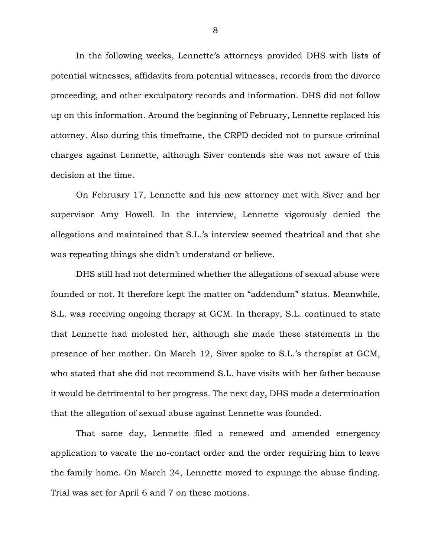In the following weeks, Lennette's attorneys provided DHS with lists of potential witnesses, affidavits from potential witnesses, records from the divorce proceeding, and other exculpatory records and information. DHS did not follow up on this information. Around the beginning of February, Lennette replaced his attorney. Also during this timeframe, the CRPD decided not to pursue criminal charges against Lennette, although Siver contends she was not aware of this decision at the time.

On February 17, Lennette and his new attorney met with Siver and her supervisor Amy Howell. In the interview, Lennette vigorously denied the allegations and maintained that S.L.'s interview seemed theatrical and that she was repeating things she didn't understand or believe.

DHS still had not determined whether the allegations of sexual abuse were founded or not. It therefore kept the matter on "addendum" status. Meanwhile, S.L. was receiving ongoing therapy at GCM. In therapy, S.L. continued to state that Lennette had molested her, although she made these statements in the presence of her mother. On March 12, Siver spoke to S.L.'s therapist at GCM, who stated that she did not recommend S.L. have visits with her father because it would be detrimental to her progress. The next day, DHS made a determination that the allegation of sexual abuse against Lennette was founded.

That same day, Lennette filed a renewed and amended emergency application to vacate the no-contact order and the order requiring him to leave the family home. On March 24, Lennette moved to expunge the abuse finding. Trial was set for April 6 and 7 on these motions.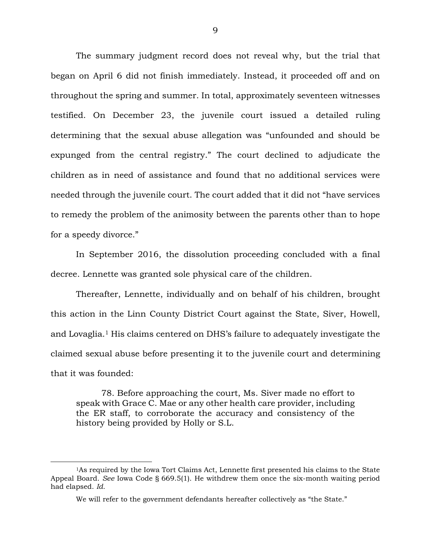The summary judgment record does not reveal why, but the trial that began on April 6 did not finish immediately. Instead, it proceeded off and on throughout the spring and summer. In total, approximately seventeen witnesses testified. On December 23, the juvenile court issued a detailed ruling determining that the sexual abuse allegation was "unfounded and should be expunged from the central registry." The court declined to adjudicate the children as in need of assistance and found that no additional services were needed through the juvenile court. The court added that it did not "have services to remedy the problem of the animosity between the parents other than to hope for a speedy divorce."

In September 2016, the dissolution proceeding concluded with a final decree. Lennette was granted sole physical care of the children.

Thereafter, Lennette, individually and on behalf of his children, brought this action in the Linn County District Court against the State, Siver, Howell, and Lovaglia. <sup>1</sup> His claims centered on DHS's failure to adequately investigate the claimed sexual abuse before presenting it to the juvenile court and determining that it was founded:

78. Before approaching the court, Ms. Siver made no effort to speak with Grace C. Mae or any other health care provider, including the ER staff, to corroborate the accuracy and consistency of the history being provided by Holly or S.L.

<sup>1</sup>As required by the Iowa Tort Claims Act, Lennette first presented his claims to the State Appeal Board. *See* Iowa Code § 669.5(1). He withdrew them once the six-month waiting period had elapsed. *Id.*

We will refer to the government defendants hereafter collectively as "the State."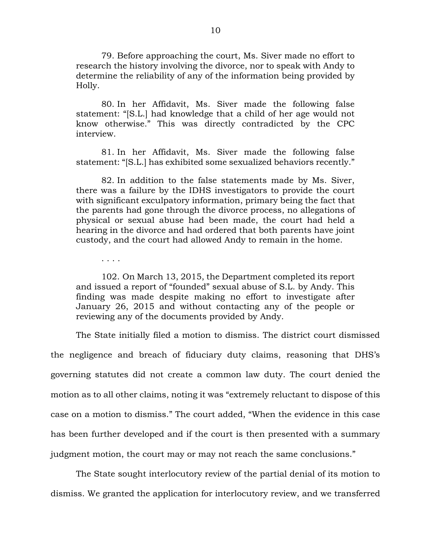79. Before approaching the court, Ms. Siver made no effort to research the history involving the divorce, nor to speak with Andy to determine the reliability of any of the information being provided by Holly.

80. In her Affidavit, Ms. Siver made the following false statement: "[S.L.] had knowledge that a child of her age would not know otherwise." This was directly contradicted by the CPC interview.

81. In her Affidavit, Ms. Siver made the following false statement: "[S.L.] has exhibited some sexualized behaviors recently."

82. In addition to the false statements made by Ms. Siver, there was a failure by the IDHS investigators to provide the court with significant exculpatory information, primary being the fact that the parents had gone through the divorce process, no allegations of physical or sexual abuse had been made, the court had held a hearing in the divorce and had ordered that both parents have joint custody, and the court had allowed Andy to remain in the home.

. . . .

102. On March 13, 2015, the Department completed its report and issued a report of "founded" sexual abuse of S.L. by Andy. This finding was made despite making no effort to investigate after January 26, 2015 and without contacting any of the people or reviewing any of the documents provided by Andy.

The State initially filed a motion to dismiss. The district court dismissed the negligence and breach of fiduciary duty claims, reasoning that DHS's governing statutes did not create a common law duty. The court denied the motion as to all other claims, noting it was "extremely reluctant to dispose of this case on a motion to dismiss." The court added, "When the evidence in this case has been further developed and if the court is then presented with a summary judgment motion, the court may or may not reach the same conclusions."

The State sought interlocutory review of the partial denial of its motion to dismiss. We granted the application for interlocutory review, and we transferred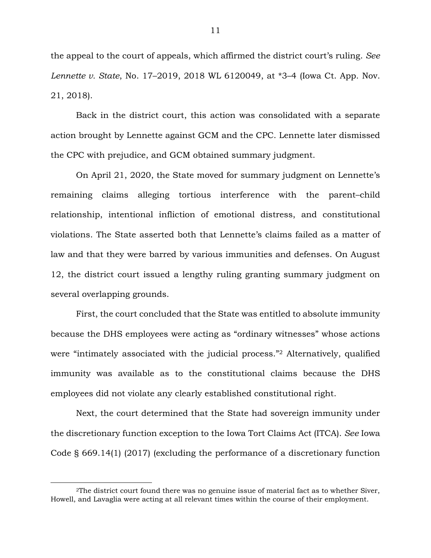the appeal to the court of appeals, which affirmed the district court's ruling. *See Lennette v. State*, No. 17–2019, 2018 WL 6120049, at \*3–4 (Iowa Ct. App. Nov. 21, 2018).

Back in the district court, this action was consolidated with a separate action brought by Lennette against GCM and the CPC. Lennette later dismissed the CPC with prejudice, and GCM obtained summary judgment.

On April 21, 2020, the State moved for summary judgment on Lennette's remaining claims alleging tortious interference with the parent–child relationship, intentional infliction of emotional distress, and constitutional violations. The State asserted both that Lennette's claims failed as a matter of law and that they were barred by various immunities and defenses. On August 12, the district court issued a lengthy ruling granting summary judgment on several overlapping grounds.

First, the court concluded that the State was entitled to absolute immunity because the DHS employees were acting as "ordinary witnesses" whose actions were "intimately associated with the judicial process."<sup>2</sup> Alternatively, qualified immunity was available as to the constitutional claims because the DHS employees did not violate any clearly established constitutional right.

Next, the court determined that the State had sovereign immunity under the discretionary function exception to the Iowa Tort Claims Act (ITCA). *See* Iowa Code § 669.14(1) (2017) (excluding the performance of a discretionary function

<sup>2</sup>The district court found there was no genuine issue of material fact as to whether Siver, Howell, and Lavaglia were acting at all relevant times within the course of their employment.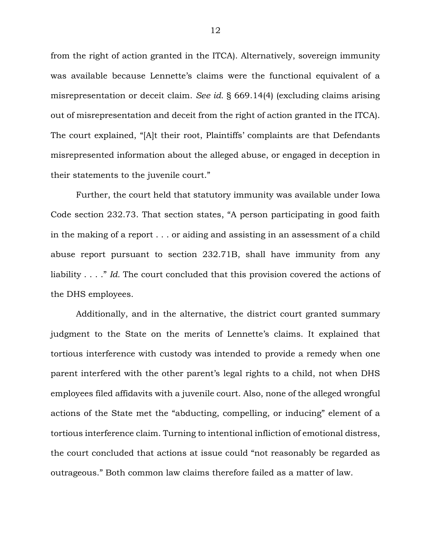from the right of action granted in the ITCA). Alternatively, sovereign immunity was available because Lennette's claims were the functional equivalent of a misrepresentation or deceit claim. *See id.* § 669.14(4) (excluding claims arising out of misrepresentation and deceit from the right of action granted in the ITCA). The court explained, "[A]t their root, Plaintiffs' complaints are that Defendants misrepresented information about the alleged abuse, or engaged in deception in their statements to the juvenile court."

Further, the court held that statutory immunity was available under Iowa Code section 232.73. That section states, "A person participating in good faith in the making of a report . . . or aiding and assisting in an assessment of a child abuse report pursuant to section 232.71B, shall have immunity from any liability . . . ." *Id.* The court concluded that this provision covered the actions of the DHS employees.

Additionally, and in the alternative, the district court granted summary judgment to the State on the merits of Lennette's claims. It explained that tortious interference with custody was intended to provide a remedy when one parent interfered with the other parent's legal rights to a child, not when DHS employees filed affidavits with a juvenile court. Also, none of the alleged wrongful actions of the State met the "abducting, compelling, or inducing" element of a tortious interference claim. Turning to intentional infliction of emotional distress, the court concluded that actions at issue could "not reasonably be regarded as outrageous." Both common law claims therefore failed as a matter of law.

12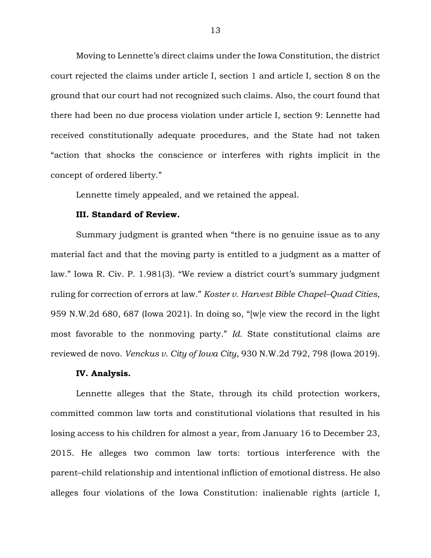Moving to Lennette's direct claims under the Iowa Constitution, the district court rejected the claims under article I, section 1 and article I, section 8 on the ground that our court had not recognized such claims. Also, the court found that there had been no due process violation under article I, section 9: Lennette had received constitutionally adequate procedures, and the State had not taken "action that shocks the conscience or interferes with rights implicit in the concept of ordered liberty."

Lennette timely appealed, and we retained the appeal.

# **III. Standard of Review.**

Summary judgment is granted when "there is no genuine issue as to any material fact and that the moving party is entitled to a judgment as a matter of law." Iowa R. Civ. P. 1.981(3). "We review a district court's summary judgment ruling for correction of errors at law." *Koster v. Harvest Bible Chapel–Quad Cities*, 959 N.W.2d 680, 687 (Iowa 2021). In doing so, "[w]e view the record in the light most favorable to the nonmoving party." *Id.* State constitutional claims are reviewed de novo. *Venckus v. City of Iowa City*, 930 N.W.2d 792, 798 (Iowa 2019).

### **IV. Analysis.**

Lennette alleges that the State, through its child protection workers, committed common law torts and constitutional violations that resulted in his losing access to his children for almost a year, from January 16 to December 23, 2015. He alleges two common law torts: tortious interference with the parent–child relationship and intentional infliction of emotional distress. He also alleges four violations of the Iowa Constitution: inalienable rights (article I,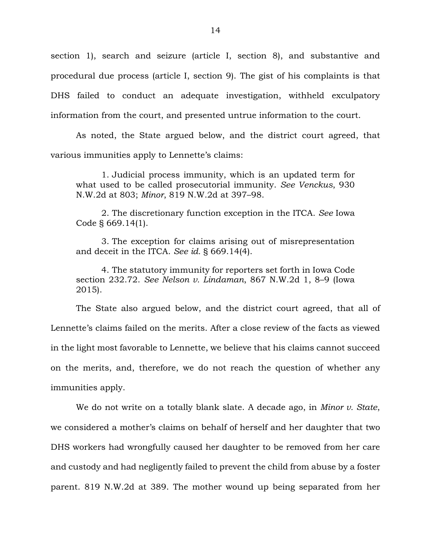section 1), search and seizure (article I, section 8), and substantive and procedural due process (article I, section 9). The gist of his complaints is that DHS failed to conduct an adequate investigation, withheld exculpatory information from the court, and presented untrue information to the court.

As noted, the State argued below, and the district court agreed, that various immunities apply to Lennette's claims:

1. Judicial process immunity, which is an updated term for what used to be called prosecutorial immunity. *See Venckus*, 930 N.W.2d at 803; *Minor*, 819 N.W.2d at 397–98.

2. The discretionary function exception in the ITCA. *See* Iowa Code § 669.14(1).

3. The exception for claims arising out of misrepresentation and deceit in the ITCA. *See id.* § 669.14(4).

4. The statutory immunity for reporters set forth in Iowa Code section 232.72. *See Nelson v. Lindaman*, 867 N.W.2d 1, 8–9 (Iowa 2015).

The State also argued below, and the district court agreed, that all of Lennette's claims failed on the merits. After a close review of the facts as viewed in the light most favorable to Lennette, we believe that his claims cannot succeed on the merits, and, therefore, we do not reach the question of whether any immunities apply.

We do not write on a totally blank slate. A decade ago, in *Minor v. State*, we considered a mother's claims on behalf of herself and her daughter that two DHS workers had wrongfully caused her daughter to be removed from her care and custody and had negligently failed to prevent the child from abuse by a foster parent. 819 N.W.2d at 389. The mother wound up being separated from her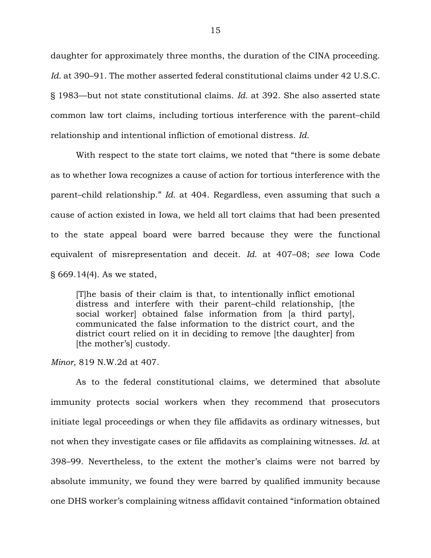daughter for approximately three months, the duration of the CINA proceeding. *Id.* at 390–91. The mother asserted federal constitutional claims under 42 U.S.C. § 1983—but not state constitutional claims. *Id.* at 392. She also asserted state common law tort claims, including tortious interference with the parent–child relationship and intentional infliction of emotional distress. *Id.*

With respect to the state tort claims, we noted that "there is some debate as to whether Iowa recognizes a cause of action for tortious interference with the parent–child relationship." *Id.* at 404. Regardless, even assuming that such a cause of action existed in Iowa, we held all tort claims that had been presented to the state appeal board were barred because they were the functional equivalent of misrepresentation and deceit. *Id.* at 407–08; *see* Iowa Code § 669.14(4). As we stated,

[T]he basis of their claim is that, to intentionally inflict emotional distress and interfere with their parent–child relationship, [the social worker] obtained false information from [a third party], communicated the false information to the district court, and the district court relied on it in deciding to remove [the daughter] from [the mother's] custody.

*Minor*, 819 N.W.2d at 407.

As to the federal constitutional claims, we determined that absolute immunity protects social workers when they recommend that prosecutors initiate legal proceedings or when they file affidavits as ordinary witnesses, but not when they investigate cases or file affidavits as complaining witnesses. *Id.* at 398–99. Nevertheless, to the extent the mother's claims were not barred by absolute immunity, we found they were barred by qualified immunity because one DHS worker's complaining witness affidavit contained "information obtained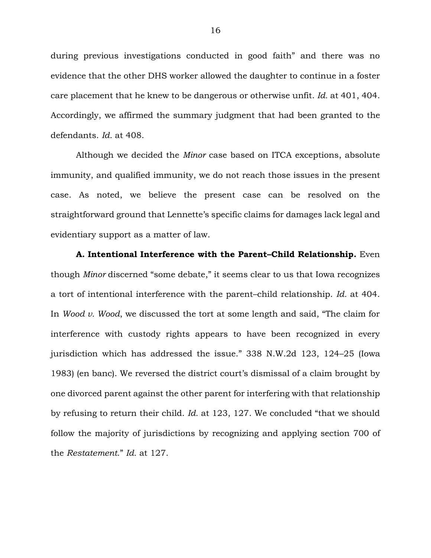during previous investigations conducted in good faith" and there was no evidence that the other DHS worker allowed the daughter to continue in a foster care placement that he knew to be dangerous or otherwise unfit. *Id.* at 401, 404. Accordingly, we affirmed the summary judgment that had been granted to the defendants. *Id.* at 408.

Although we decided the *Minor* case based on ITCA exceptions, absolute immunity, and qualified immunity, we do not reach those issues in the present case. As noted, we believe the present case can be resolved on the straightforward ground that Lennette's specific claims for damages lack legal and evidentiary support as a matter of law.

**A. Intentional Interference with the Parent–Child Relationship.** Even though *Minor* discerned "some debate," it seems clear to us that Iowa recognizes a tort of intentional interference with the parent–child relationship. *Id.* at 404. In *Wood v. Wood*, we discussed the tort at some length and said, "The claim for interference with custody rights appears to have been recognized in every jurisdiction which has addressed the issue." 338 N.W.2d 123, 124–25 (Iowa 1983) (en banc). We reversed the district court's dismissal of a claim brought by one divorced parent against the other parent for interfering with that relationship by refusing to return their child. *Id.* at 123, 127. We concluded "that we should follow the majority of jurisdictions by recognizing and applying section 700 of the *Restatement*." *Id.* at 127.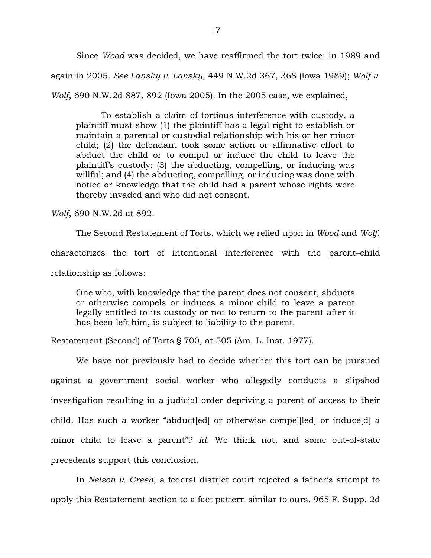Since *Wood* was decided, we have reaffirmed the tort twice: in 1989 and again in 2005. *See Lansky v. Lansky*, 449 N.W.2d 367, 368 (Iowa 1989); *Wolf v. Wolf*, 690 N.W.2d 887, 892 (Iowa 2005). In the 2005 case, we explained,

To establish a claim of tortious interference with custody, a plaintiff must show (1) the plaintiff has a legal right to establish or maintain a parental or custodial relationship with his or her minor child; (2) the defendant took some action or affirmative effort to abduct the child or to compel or induce the child to leave the plaintiff's custody; (3) the abducting, compelling, or inducing was willful; and (4) the abducting, compelling, or inducing was done with notice or knowledge that the child had a parent whose rights were thereby invaded and who did not consent.

*Wolf*, 690 N.W.2d at 892.

The Second Restatement of Torts, which we relied upon in *Wood* and *Wolf*, characterizes the tort of intentional interference with the parent–child relationship as follows:

One who, with knowledge that the parent does not consent, abducts or otherwise compels or induces a minor child to leave a parent legally entitled to its custody or not to return to the parent after it has been left him, is subject to liability to the parent.

Restatement (Second) of Torts § 700, at 505 (Am. L. Inst. 1977).

We have not previously had to decide whether this tort can be pursued against a government social worker who allegedly conducts a slipshod investigation resulting in a judicial order depriving a parent of access to their child. Has such a worker "abduct[ed] or otherwise compel[led] or induce[d] a minor child to leave a parent"? *Id.* We think not, and some out-of-state precedents support this conclusion.

In *Nelson v. Green*, a federal district court rejected a father's attempt to apply this Restatement section to a fact pattern similar to ours. 965 F. Supp. 2d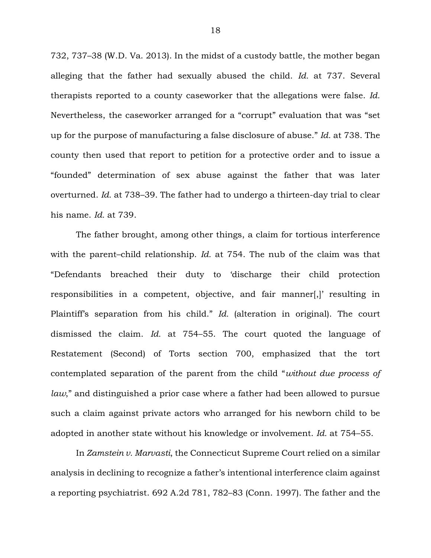732, 737–38 (W.D. Va. 2013). In the midst of a custody battle, the mother began alleging that the father had sexually abused the child. *Id.* at 737. Several therapists reported to a county caseworker that the allegations were false. *Id.* Nevertheless, the caseworker arranged for a "corrupt" evaluation that was "set up for the purpose of manufacturing a false disclosure of abuse." *Id.* at 738. The county then used that report to petition for a protective order and to issue a "founded" determination of sex abuse against the father that was later overturned. *Id.* at 738–39. The father had to undergo a thirteen-day trial to clear his name. *Id.* at 739.

The father brought, among other things, a claim for tortious interference with the parent–child relationship. *Id.* at 754. The nub of the claim was that "Defendants breached their duty to 'discharge their child protection responsibilities in a competent, objective, and fair manner[,]' resulting in Plaintiff's separation from his child." *Id.* (alteration in original). The court dismissed the claim. *Id.* at 754–55. The court quoted the language of Restatement (Second) of Torts section 700, emphasized that the tort contemplated separation of the parent from the child "*without due process of law*," and distinguished a prior case where a father had been allowed to pursue such a claim against private actors who arranged for his newborn child to be adopted in another state without his knowledge or involvement. *Id.* at 754–55.

In *Zamstein v. Marvasti*, the Connecticut Supreme Court relied on a similar analysis in declining to recognize a father's intentional interference claim against a reporting psychiatrist. 692 A.2d 781, 782–83 (Conn. 1997). The father and the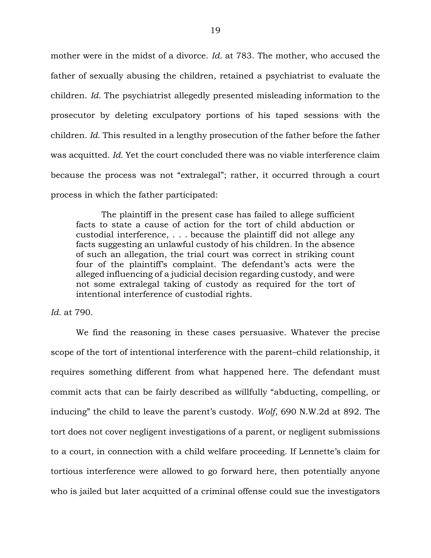mother were in the midst of a divorce. *Id.* at 783. The mother, who accused the father of sexually abusing the children, retained a psychiatrist to evaluate the children. *Id.* The psychiatrist allegedly presented misleading information to the prosecutor by deleting exculpatory portions of his taped sessions with the children. *Id.* This resulted in a lengthy prosecution of the father before the father was acquitted. *Id.* Yet the court concluded there was no viable interference claim because the process was not "extralegal"; rather, it occurred through a court process in which the father participated:

The plaintiff in the present case has failed to allege sufficient facts to state a cause of action for the tort of child abduction or custodial interference, . . . because the plaintiff did not allege any facts suggesting an unlawful custody of his children. In the absence of such an allegation, the trial court was correct in striking count four of the plaintiff's complaint. The defendant's acts were the alleged influencing of a judicial decision regarding custody, and were not some extralegal taking of custody as required for the tort of intentional interference of custodial rights.

*Id.* at 790.

We find the reasoning in these cases persuasive. Whatever the precise scope of the tort of intentional interference with the parent–child relationship, it requires something different from what happened here. The defendant must commit acts that can be fairly described as willfully "abducting, compelling, or inducing" the child to leave the parent's custody. *Wolf*, 690 N.W.2d at 892. The tort does not cover negligent investigations of a parent, or negligent submissions to a court, in connection with a child welfare proceeding. If Lennette's claim for tortious interference were allowed to go forward here, then potentially anyone who is jailed but later acquitted of a criminal offense could sue the investigators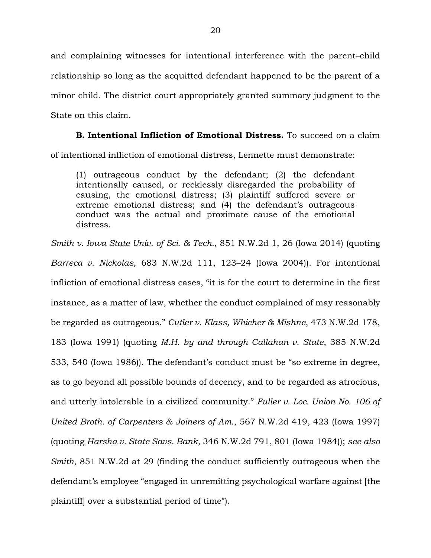and complaining witnesses for intentional interference with the parent–child relationship so long as the acquitted defendant happened to be the parent of a minor child. The district court appropriately granted summary judgment to the State on this claim.

# **B. Intentional Infliction of Emotional Distress.** To succeed on a claim

of intentional infliction of emotional distress, Lennette must demonstrate:

(1) outrageous conduct by the defendant; (2) the defendant intentionally caused, or recklessly disregarded the probability of causing, the emotional distress; (3) plaintiff suffered severe or extreme emotional distress; and (4) the defendant's outrageous conduct was the actual and proximate cause of the emotional distress.

*Smith v. Iowa State Univ. of Sci. & Tech.*, 851 N.W.2d 1, 26 (Iowa 2014) (quoting *Barreca v. Nickolas*, 683 N.W.2d 111, 123–24 (Iowa 2004)). For intentional infliction of emotional distress cases, "it is for the court to determine in the first instance, as a matter of law, whether the conduct complained of may reasonably be regarded as outrageous." *Cutler v. Klass, Whicher & Mishne*, 473 N.W.2d 178, 183 (Iowa 1991) (quoting *M.H. by and through Callahan v. State*, 385 N.W.2d 533, 540 (Iowa 1986)). The defendant's conduct must be "so extreme in degree, as to go beyond all possible bounds of decency, and to be regarded as atrocious, and utterly intolerable in a civilized community." *Fuller v. Loc. Union No. 106 of United Broth. of Carpenters & Joiners of Am.*, 567 N.W.2d 419, 423 (Iowa 1997) (quoting *Harsha v. State Savs. Bank*, 346 N.W.2d 791, 801 (Iowa 1984)); *see also Smith*, 851 N.W.2d at 29 (finding the conduct sufficiently outrageous when the defendant's employee "engaged in unremitting psychological warfare against [the plaintiff] over a substantial period of time").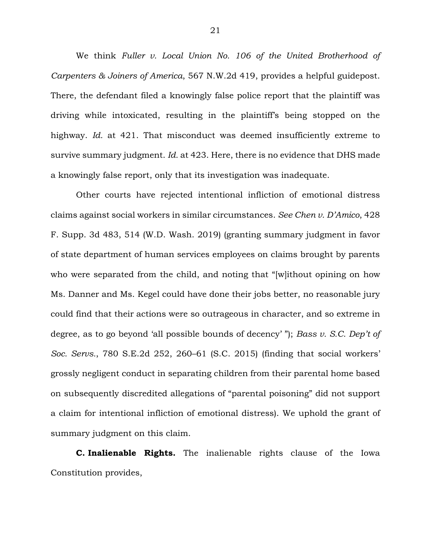We think *Fuller v. Local Union No. 106 of the United Brotherhood of Carpenters & Joiners of America*, 567 N.W.2d 419, provides a helpful guidepost. There, the defendant filed a knowingly false police report that the plaintiff was driving while intoxicated, resulting in the plaintiff's being stopped on the highway. *Id.* at 421. That misconduct was deemed insufficiently extreme to survive summary judgment. *Id.* at 423. Here, there is no evidence that DHS made a knowingly false report, only that its investigation was inadequate.

Other courts have rejected intentional infliction of emotional distress claims against social workers in similar circumstances. *See Chen v. D'Amico*, 428 F. Supp. 3d 483, 514 (W.D. Wash. 2019) (granting summary judgment in favor of state department of human services employees on claims brought by parents who were separated from the child, and noting that "[w]ithout opining on how Ms. Danner and Ms. Kegel could have done their jobs better, no reasonable jury could find that their actions were so outrageous in character, and so extreme in degree, as to go beyond 'all possible bounds of decency' "); *Bass v. S.C. Dep't of Soc. Servs.*, 780 S.E.2d 252, 260–61 (S.C. 2015) (finding that social workers' grossly negligent conduct in separating children from their parental home based on subsequently discredited allegations of "parental poisoning" did not support a claim for intentional infliction of emotional distress). We uphold the grant of summary judgment on this claim.

**C. Inalienable Rights.** The inalienable rights clause of the Iowa Constitution provides,

21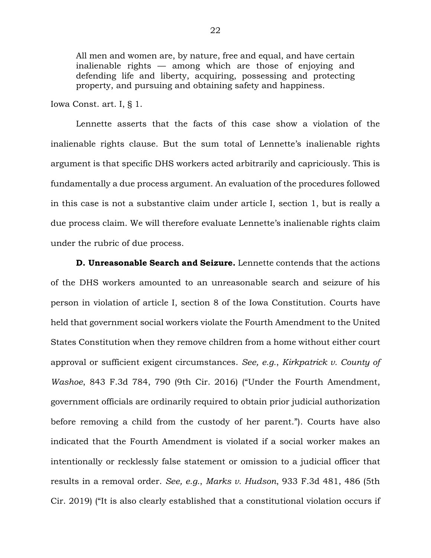All men and women are, by nature, free and equal, and have certain inalienable rights — among which are those of enjoying and defending life and liberty, acquiring, possessing and protecting property, and pursuing and obtaining safety and happiness.

Iowa Const. art. I, § 1.

Lennette asserts that the facts of this case show a violation of the inalienable rights clause. But the sum total of Lennette's inalienable rights argument is that specific DHS workers acted arbitrarily and capriciously. This is fundamentally a due process argument. An evaluation of the procedures followed in this case is not a substantive claim under article I, section 1, but is really a due process claim. We will therefore evaluate Lennette's inalienable rights claim under the rubric of due process.

**D. Unreasonable Search and Seizure.** Lennette contends that the actions of the DHS workers amounted to an unreasonable search and seizure of his person in violation of article I, section 8 of the Iowa Constitution. Courts have held that government social workers violate the Fourth Amendment to the United States Constitution when they remove children from a home without either court approval or sufficient exigent circumstances. *See, e.g.*, *Kirkpatrick v. County of Washoe*, 843 F.3d 784, 790 (9th Cir. 2016) ("Under the Fourth Amendment, government officials are ordinarily required to obtain prior judicial authorization before removing a child from the custody of her parent."). Courts have also indicated that the Fourth Amendment is violated if a social worker makes an intentionally or recklessly false statement or omission to a judicial officer that results in a removal order. *See, e.g.*, *Marks v. Hudson*, 933 F.3d 481, 486 (5th Cir. 2019) ("It is also clearly established that a constitutional violation occurs if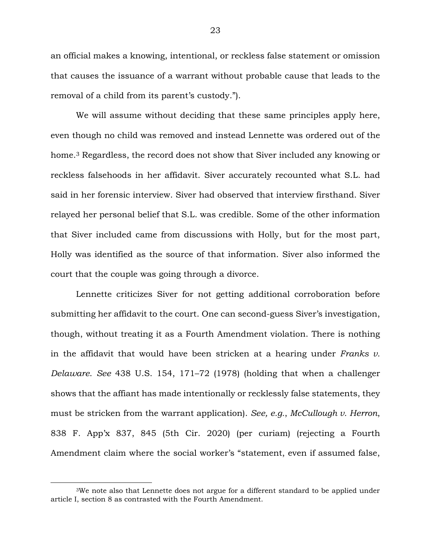an official makes a knowing, intentional, or reckless false statement or omission that causes the issuance of a warrant without probable cause that leads to the removal of a child from its parent's custody.").

We will assume without deciding that these same principles apply here, even though no child was removed and instead Lennette was ordered out of the home.<sup>3</sup> Regardless, the record does not show that Siver included any knowing or reckless falsehoods in her affidavit. Siver accurately recounted what S.L. had said in her forensic interview. Siver had observed that interview firsthand. Siver relayed her personal belief that S.L. was credible. Some of the other information that Siver included came from discussions with Holly, but for the most part, Holly was identified as the source of that information. Siver also informed the court that the couple was going through a divorce.

Lennette criticizes Siver for not getting additional corroboration before submitting her affidavit to the court. One can second-guess Siver's investigation, though, without treating it as a Fourth Amendment violation. There is nothing in the affidavit that would have been stricken at a hearing under *Franks v. Delaware*. *See* 438 U.S. 154, 171–72 (1978) (holding that when a challenger shows that the affiant has made intentionally or recklessly false statements, they must be stricken from the warrant application). *See, e.g.*, *McCullough v. Herron*, 838 F. App'x 837, 845 (5th Cir. 2020) (per curiam) (rejecting a Fourth Amendment claim where the social worker's "statement, even if assumed false,

<sup>3</sup>We note also that Lennette does not argue for a different standard to be applied under article I, section 8 as contrasted with the Fourth Amendment.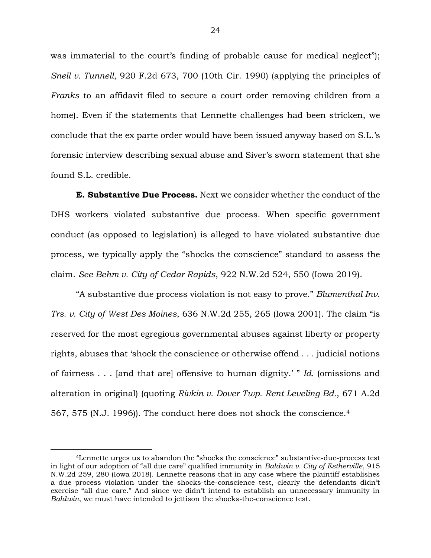was immaterial to the court's finding of probable cause for medical neglect"); *Snell v. Tunnell*, 920 F.2d 673, 700 (10th Cir. 1990) (applying the principles of *Franks* to an affidavit filed to secure a court order removing children from a home). Even if the statements that Lennette challenges had been stricken, we conclude that the ex parte order would have been issued anyway based on S.L.'s forensic interview describing sexual abuse and Siver's sworn statement that she found S.L. credible.

**E. Substantive Due Process.** Next we consider whether the conduct of the DHS workers violated substantive due process. When specific government conduct (as opposed to legislation) is alleged to have violated substantive due process, we typically apply the "shocks the conscience" standard to assess the claim. *See Behm v. City of Cedar Rapids*, 922 N.W.2d 524, 550 (Iowa 2019).

"A substantive due process violation is not easy to prove." *Blumenthal Inv. Trs. v. City of West Des Moines*, 636 N.W.2d 255, 265 (Iowa 2001). The claim "is reserved for the most egregious governmental abuses against liberty or property rights, abuses that 'shock the conscience or otherwise offend . . . judicial notions of fairness . . . [and that are] offensive to human dignity.' " *Id.* (omissions and alteration in original) (quoting *Rivkin v. Dover Twp. Rent Leveling Bd.*, 671 A.2d 567, 575 (N.J. 1996)). The conduct here does not shock the conscience.<sup>4</sup>

<sup>4</sup>Lennette urges us to abandon the "shocks the conscience" substantive-due-process test in light of our adoption of "all due care" qualified immunity in *Baldwin v. City of Estherville*, 915 N.W.2d 259, 280 (Iowa 2018). Lennette reasons that in any case where the plaintiff establishes a due process violation under the shocks-the-conscience test, clearly the defendants didn't exercise "all due care." And since we didn't intend to establish an unnecessary immunity in *Baldwin*, we must have intended to jettison the shocks-the-conscience test.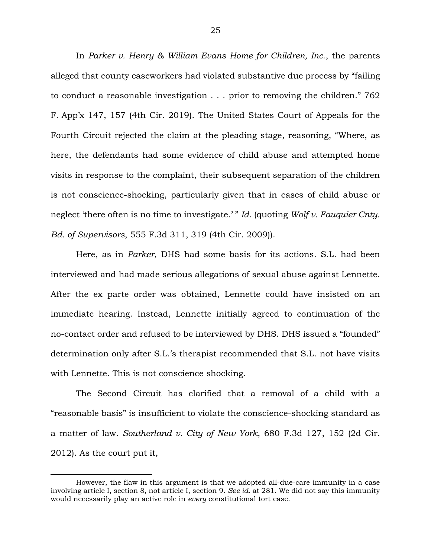In *Parker v. Henry & William Evans Home for Children, Inc.*, the parents alleged that county caseworkers had violated substantive due process by "failing to conduct a reasonable investigation . . . prior to removing the children." 762 F. App'x 147, 157 (4th Cir. 2019). The United States Court of Appeals for the Fourth Circuit rejected the claim at the pleading stage, reasoning, "Where, as here, the defendants had some evidence of child abuse and attempted home visits in response to the complaint, their subsequent separation of the children is not conscience-shocking, particularly given that in cases of child abuse or neglect 'there often is no time to investigate.' " *Id.* (quoting *Wolf v. Fauquier Cnty. Bd. of Supervisors*, 555 F.3d 311, 319 (4th Cir. 2009)).

Here, as in *Parker*, DHS had some basis for its actions. S.L. had been interviewed and had made serious allegations of sexual abuse against Lennette. After the ex parte order was obtained, Lennette could have insisted on an immediate hearing. Instead, Lennette initially agreed to continuation of the no-contact order and refused to be interviewed by DHS. DHS issued a "founded" determination only after S.L.'s therapist recommended that S.L. not have visits with Lennette. This is not conscience shocking.

The Second Circuit has clarified that a removal of a child with a "reasonable basis" is insufficient to violate the conscience-shocking standard as a matter of law. *Southerland v. City of New York*, 680 F.3d 127, 152 (2d Cir. 2012). As the court put it,

However, the flaw in this argument is that we adopted all-due-care immunity in a case involving article I, section 8, not article I, section 9. *See id.* at 281. We did not say this immunity would necessarily play an active role in *every* constitutional tort case.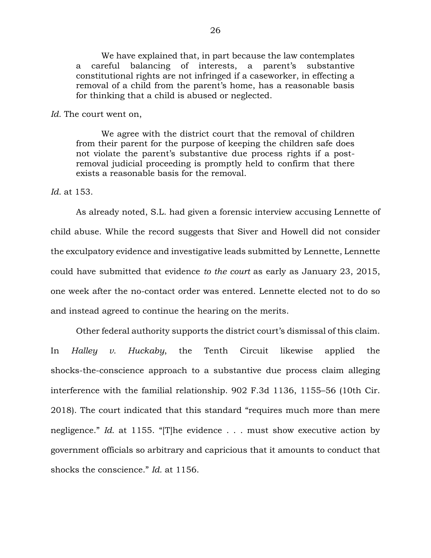We have explained that, in part because the law contemplates a careful balancing of interests, a parent's substantive constitutional rights are not infringed if a caseworker, in effecting a removal of a child from the parent's home, has a reasonable basis for thinking that a child is abused or neglected.

#### *Id.* The court went on,

We agree with the district court that the removal of children from their parent for the purpose of keeping the children safe does not violate the parent's substantive due process rights if a postremoval judicial proceeding is promptly held to confirm that there exists a reasonable basis for the removal.

*Id.* at 153.

As already noted, S.L. had given a forensic interview accusing Lennette of child abuse. While the record suggests that Siver and Howell did not consider the exculpatory evidence and investigative leads submitted by Lennette, Lennette could have submitted that evidence *to the court* as early as January 23, 2015, one week after the no-contact order was entered. Lennette elected not to do so and instead agreed to continue the hearing on the merits.

Other federal authority supports the district court's dismissal of this claim. In *Halley v. Huckaby*, the Tenth Circuit likewise applied the shocks-the-conscience approach to a substantive due process claim alleging interference with the familial relationship. 902 F.3d 1136, 1155–56 (10th Cir. 2018). The court indicated that this standard "requires much more than mere negligence." *Id.* at 1155. "[T]he evidence . . . must show executive action by government officials so arbitrary and capricious that it amounts to conduct that shocks the conscience." *Id.* at 1156.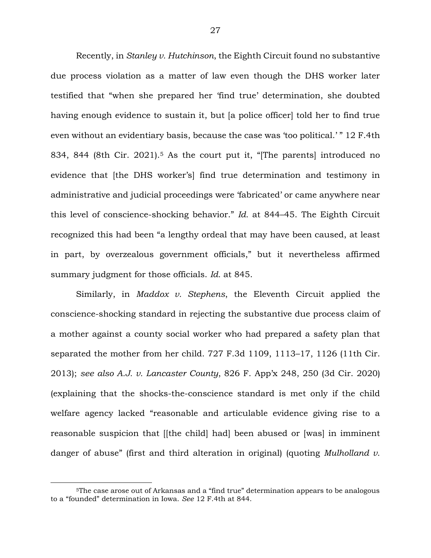Recently, in *Stanley v. Hutchinson*, the Eighth Circuit found no substantive due process violation as a matter of law even though the DHS worker later testified that "when she prepared her 'find true' determination, she doubted having enough evidence to sustain it, but [a police officer] told her to find true even without an evidentiary basis, because the case was 'too political.' " 12 F.4th 834, 844 (8th Cir. 2021).<sup>5</sup> As the court put it, "[The parents] introduced no evidence that [the DHS worker's] find true determination and testimony in administrative and judicial proceedings were 'fabricated' or came anywhere near this level of conscience-shocking behavior." *Id.* at 844–45. The Eighth Circuit recognized this had been "a lengthy ordeal that may have been caused, at least in part, by overzealous government officials," but it nevertheless affirmed summary judgment for those officials. *Id.* at 845.

Similarly, in *Maddox v. Stephens*, the Eleventh Circuit applied the conscience-shocking standard in rejecting the substantive due process claim of a mother against a county social worker who had prepared a safety plan that separated the mother from her child. 727 F.3d 1109, 1113–17, 1126 (11th Cir. 2013); *see also A.J. v. Lancaster County*, 826 F. App'x 248, 250 (3d Cir. 2020) (explaining that the shocks-the-conscience standard is met only if the child welfare agency lacked "reasonable and articulable evidence giving rise to a reasonable suspicion that [[the child] had] been abused or [was] in imminent danger of abuse" (first and third alteration in original) (quoting *Mulholland v.* 

<sup>5</sup>The case arose out of Arkansas and a "find true" determination appears to be analogous to a "founded" determination in Iowa. *See* 12 F.4th at 844.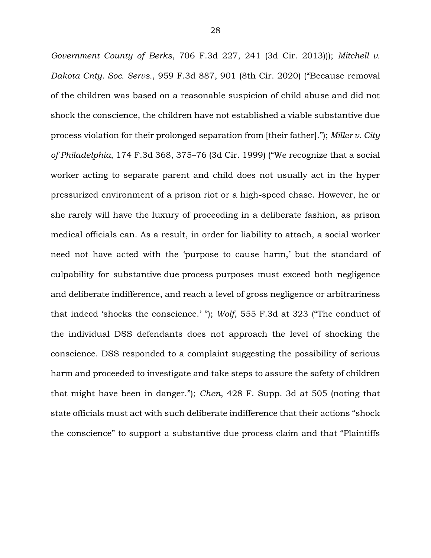*Government County of Berks*, 706 F.3d 227, 241 (3d Cir. 2013))); *Mitchell v. Dakota Cnty. Soc. Servs.*, 959 F.3d 887, 901 (8th Cir. 2020) ("Because removal of the children was based on a reasonable suspicion of child abuse and did not shock the conscience, the children have not established a viable substantive due process violation for their prolonged separation from [their father]."); *Miller v. City of Philadelphia*, 174 F.3d 368, 375–76 (3d Cir. 1999) ("We recognize that a social worker acting to separate parent and child does not usually act in the hyper pressurized environment of a prison riot or a high-speed chase. However, he or she rarely will have the luxury of proceeding in a deliberate fashion, as prison medical officials can. As a result, in order for liability to attach, a social worker need not have acted with the 'purpose to cause harm,' but the standard of culpability for substantive due process purposes must exceed both negligence and deliberate indifference, and reach a level of gross negligence or arbitrariness that indeed 'shocks the conscience.' "); *Wolf*, 555 F.3d at 323 ("The conduct of the individual DSS defendants does not approach the level of shocking the conscience. DSS responded to a complaint suggesting the possibility of serious harm and proceeded to investigate and take steps to assure the safety of children that might have been in danger."); *Chen*, 428 F. Supp. 3d at 505 (noting that state officials must act with such deliberate indifference that their actions "shock the conscience" to support a substantive due process claim and that "Plaintiffs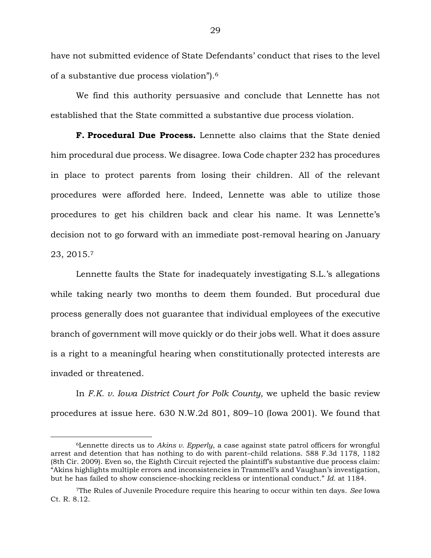have not submitted evidence of State Defendants' conduct that rises to the level of a substantive due process violation").<sup>6</sup>

We find this authority persuasive and conclude that Lennette has not established that the State committed a substantive due process violation.

**F. Procedural Due Process.** Lennette also claims that the State denied him procedural due process. We disagree. Iowa Code chapter 232 has procedures in place to protect parents from losing their children. All of the relevant procedures were afforded here. Indeed, Lennette was able to utilize those procedures to get his children back and clear his name. It was Lennette's decision not to go forward with an immediate post-removal hearing on January 23, 2015.<sup>7</sup>

Lennette faults the State for inadequately investigating S.L.'s allegations while taking nearly two months to deem them founded. But procedural due process generally does not guarantee that individual employees of the executive branch of government will move quickly or do their jobs well. What it does assure is a right to a meaningful hearing when constitutionally protected interests are invaded or threatened.

In *F.K. v. Iowa District Court for Polk County*, we upheld the basic review procedures at issue here. 630 N.W.2d 801, 809–10 (Iowa 2001). We found that

<sup>6</sup>Lennette directs us to *Akins v. Epperly*, a case against state patrol officers for wrongful arrest and detention that has nothing to do with parent–child relations. 588 F.3d 1178, 1182 (8th Cir. 2009). Even so, the Eighth Circuit rejected the plaintiff's substantive due process claim: "Akins highlights multiple errors and inconsistencies in Trammell's and Vaughan's investigation, but he has failed to show conscience-shocking reckless or intentional conduct." *Id.* at 1184.

<sup>7</sup>The Rules of Juvenile Procedure require this hearing to occur within ten days. *See* Iowa Ct. R. 8.12.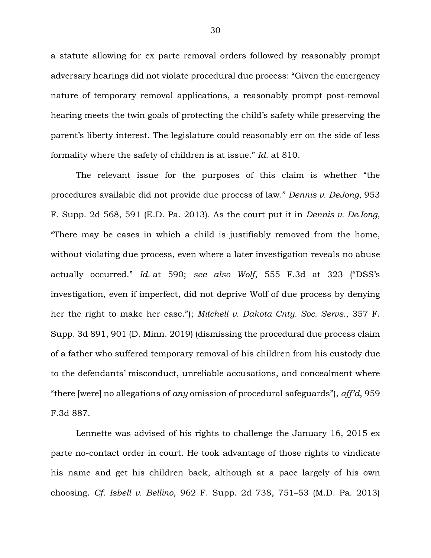a statute allowing for ex parte removal orders followed by reasonably prompt adversary hearings did not violate procedural due process: "Given the emergency nature of temporary removal applications, a reasonably prompt post-removal hearing meets the twin goals of protecting the child's safety while preserving the parent's liberty interest. The legislature could reasonably err on the side of less formality where the safety of children is at issue." *Id.* at 810.

The relevant issue for the purposes of this claim is whether "the procedures available did not provide due process of law." *Dennis v. DeJong*, 953 F. Supp. 2d 568, 591 (E.D. Pa. 2013). As the court put it in *Dennis v. DeJong*, "There may be cases in which a child is justifiably removed from the home, without violating due process, even where a later investigation reveals no abuse actually occurred." *Id.* at 590; *see also Wolf*, 555 F.3d at 323 ("DSS's investigation, even if imperfect, did not deprive Wolf of due process by denying her the right to make her case."); *Mitchell v. Dakota Cnty. Soc. Servs.*, 357 F. Supp. 3d 891, 901 (D. Minn. 2019) (dismissing the procedural due process claim of a father who suffered temporary removal of his children from his custody due to the defendants' misconduct, unreliable accusations, and concealment where "there [were] no allegations of *any* omission of procedural safeguards"), *aff'd*, 959 F.3d 887.

Lennette was advised of his rights to challenge the January 16, 2015 ex parte no-contact order in court. He took advantage of those rights to vindicate his name and get his children back, although at a pace largely of his own choosing. *Cf. Isbell v. Bellino*, 962 F. Supp. 2d 738, 751–53 (M.D. Pa. 2013)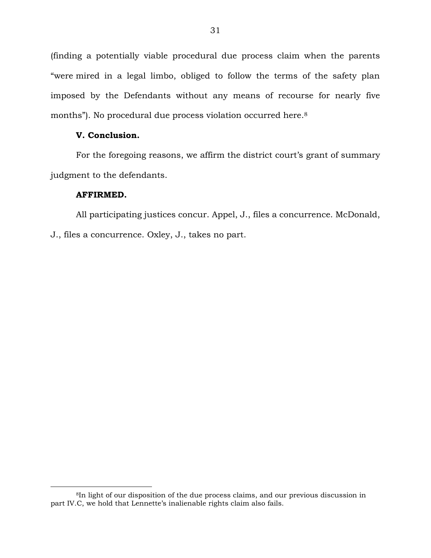(finding a potentially viable procedural due process claim when the parents "were mired in a legal limbo, obliged to follow the terms of the safety plan imposed by the Defendants without any means of recourse for nearly five months"). No procedural due process violation occurred here. 8

### **V. Conclusion.**

For the foregoing reasons, we affirm the district court's grant of summary judgment to the defendants.

### **AFFIRMED.**

 $\overline{a}$ 

All participating justices concur. Appel, J., files a concurrence. McDonald, J., files a concurrence. Oxley, J., takes no part.

<sup>8</sup>In light of our disposition of the due process claims, and our previous discussion in part IV.C, we hold that Lennette's inalienable rights claim also fails.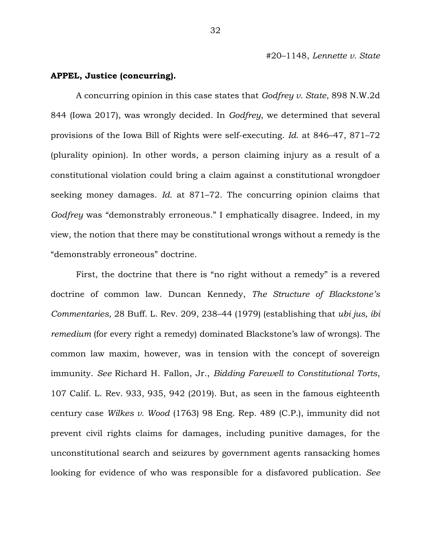#20–1148, *Lennette v. State*

### **APPEL, Justice (concurring).**

A concurring opinion in this case states that *Godfrey v. State*, 898 N.W.2d 844 (Iowa 2017), was wrongly decided. In *Godfrey*, we determined that several provisions of the Iowa Bill of Rights were self-executing. *Id.* at 846–47, 871–72 (plurality opinion). In other words, a person claiming injury as a result of a constitutional violation could bring a claim against a constitutional wrongdoer seeking money damages. *Id.* at 871–72. The concurring opinion claims that *Godfrey* was "demonstrably erroneous." I emphatically disagree. Indeed, in my view, the notion that there may be constitutional wrongs without a remedy is the "demonstrably erroneous" doctrine.

First, the doctrine that there is "no right without a remedy" is a revered doctrine of common law. Duncan Kennedy, *The Structure of Blackstone's Commentaries*, 28 Buff. L. Rev. 209, 238–44 (1979) (establishing that *ubi jus, ibi remedium* (for every right a remedy) dominated Blackstone's law of wrongs). The common law maxim, however, was in tension with the concept of sovereign immunity. *See* Richard H. Fallon, Jr., *Bidding Farewell to Constitutional Torts*, 107 Calif. L. Rev. 933, 935, 942 (2019). But, as seen in the famous eighteenth century case *Wilkes v. Wood* (1763) 98 Eng. Rep. 489 (C.P.), immunity did not prevent civil rights claims for damages, including punitive damages, for the unconstitutional search and seizures by government agents ransacking homes looking for evidence of who was responsible for a disfavored publication. *See*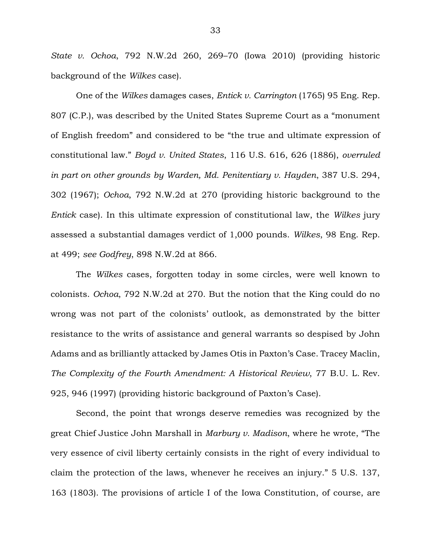*State v. Ochoa*, 792 N.W.2d 260, 269–70 (Iowa 2010) (providing historic background of the *Wilkes* case).

One of the *Wilkes* damages cases, *Entick v. Carrington* (1765) 95 Eng. Rep. 807 (C.P.), was described by the United States Supreme Court as a "monument of English freedom" and considered to be "the true and ultimate expression of constitutional law." *Boyd v. United States*, 116 U.S. 616, 626 (1886), *overruled in part on other grounds by Warden, Md. Penitentiary v. Hayden*, 387 U.S. 294, 302 (1967); *Ochoa*, 792 N.W.2d at 270 (providing historic background to the *Entick* case). In this ultimate expression of constitutional law, the *Wilkes* jury assessed a substantial damages verdict of 1,000 pounds. *Wilkes*, 98 Eng. Rep. at 499; *see Godfrey*, 898 N.W.2d at 866.

The *Wilkes* cases, forgotten today in some circles, were well known to colonists. *Ochoa*, 792 N.W.2d at 270. But the notion that the King could do no wrong was not part of the colonists' outlook, as demonstrated by the bitter resistance to the writs of assistance and general warrants so despised by John Adams and as brilliantly attacked by James Otis in Paxton's Case. Tracey Maclin, *The Complexity of the Fourth Amendment: A Historical Review*, 77 B.U. L. Rev. 925, 946 (1997) (providing historic background of Paxton's Case).

Second, the point that wrongs deserve remedies was recognized by the great Chief Justice John Marshall in *Marbury v. Madison*, where he wrote, "The very essence of civil liberty certainly consists in the right of every individual to claim the protection of the laws, whenever he receives an injury." 5 U.S. 137, 163 (1803). The provisions of article I of the Iowa Constitution, of course, are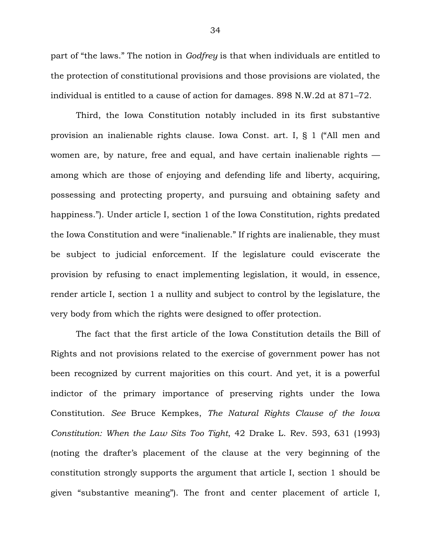part of "the laws." The notion in *Godfrey* is that when individuals are entitled to the protection of constitutional provisions and those provisions are violated, the individual is entitled to a cause of action for damages. 898 N.W.2d at 871–72.

Third, the Iowa Constitution notably included in its first substantive provision an inalienable rights clause. Iowa Const. art. I, § 1 ("All men and women are, by nature, free and equal, and have certain inalienable rights among which are those of enjoying and defending life and liberty, acquiring, possessing and protecting property, and pursuing and obtaining safety and happiness."). Under article I, section 1 of the Iowa Constitution, rights predated the Iowa Constitution and were "inalienable." If rights are inalienable, they must be subject to judicial enforcement. If the legislature could eviscerate the provision by refusing to enact implementing legislation, it would, in essence, render article I, section 1 a nullity and subject to control by the legislature, the very body from which the rights were designed to offer protection.

The fact that the first article of the Iowa Constitution details the Bill of Rights and not provisions related to the exercise of government power has not been recognized by current majorities on this court. And yet, it is a powerful indictor of the primary importance of preserving rights under the Iowa Constitution. *See* Bruce Kempkes, *The Natural Rights Clause of the Iowa Constitution: When the Law Sits Too Tight*, 42 Drake L. Rev. 593, 631 (1993) (noting the drafter's placement of the clause at the very beginning of the constitution strongly supports the argument that article I, section 1 should be given "substantive meaning"). The front and center placement of article I,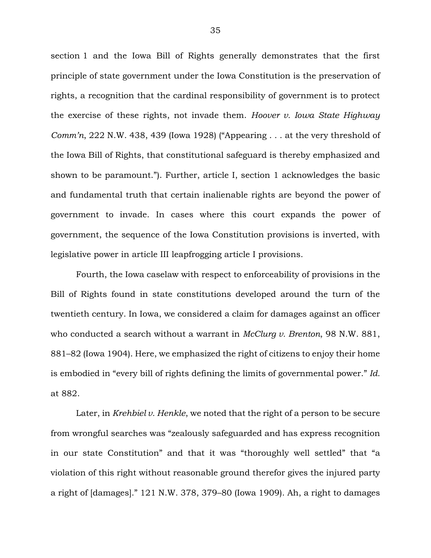section 1 and the Iowa Bill of Rights generally demonstrates that the first principle of state government under the Iowa Constitution is the preservation of rights, a recognition that the cardinal responsibility of government is to protect the exercise of these rights, not invade them. *Hoover v. Iowa State Highway Comm'n*, 222 N.W. 438, 439 (Iowa 1928) ("Appearing . . . at the very threshold of the Iowa Bill of Rights, that constitutional safeguard is thereby emphasized and shown to be paramount."). Further, article I, section 1 acknowledges the basic and fundamental truth that certain inalienable rights are beyond the power of government to invade. In cases where this court expands the power of government, the sequence of the Iowa Constitution provisions is inverted, with legislative power in article III leapfrogging article I provisions.

Fourth, the Iowa caselaw with respect to enforceability of provisions in the Bill of Rights found in state constitutions developed around the turn of the twentieth century. In Iowa, we considered a claim for damages against an officer who conducted a search without a warrant in *McClurg v. Brenton*, 98 N.W. 881, 881–82 (Iowa 1904). Here, we emphasized the right of citizens to enjoy their home is embodied in "every bill of rights defining the limits of governmental power." *Id.* at 882.

Later, in *Krehbiel v. Henkle*, we noted that the right of a person to be secure from wrongful searches was "zealously safeguarded and has express recognition in our state Constitution" and that it was "thoroughly well settled" that "a violation of this right without reasonable ground therefor gives the injured party a right of [damages]." 121 N.W. 378, 379–80 (Iowa 1909). Ah, a right to damages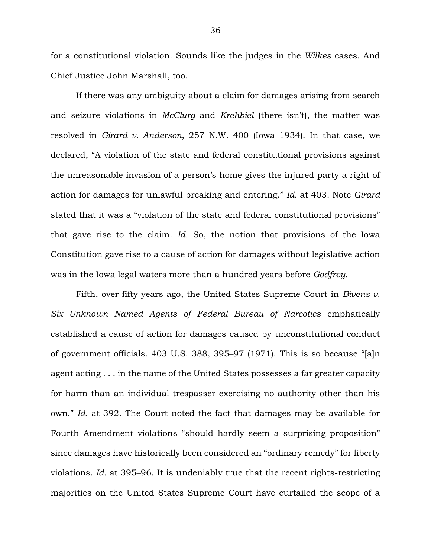for a constitutional violation. Sounds like the judges in the *Wilkes* cases. And Chief Justice John Marshall, too.

If there was any ambiguity about a claim for damages arising from search and seizure violations in *McClurg* and *Krehbiel* (there isn't), the matter was resolved in *Girard v. Anderson*, 257 N.W. 400 (Iowa 1934). In that case, we declared, "A violation of the state and federal constitutional provisions against the unreasonable invasion of a person's home gives the injured party a right of action for damages for unlawful breaking and entering." *Id.* at 403. Note *Girard* stated that it was a "violation of the state and federal constitutional provisions" that gave rise to the claim. *Id.* So, the notion that provisions of the Iowa Constitution gave rise to a cause of action for damages without legislative action was in the Iowa legal waters more than a hundred years before *Godfrey*.

Fifth, over fifty years ago, the United States Supreme Court in *Bivens v. Six Unknown Named Agents of Federal Bureau of Narcotics* emphatically established a cause of action for damages caused by unconstitutional conduct of government officials. 403 U.S. 388, 395–97 (1971). This is so because "[a]n agent acting . . . in the name of the United States possesses a far greater capacity for harm than an individual trespasser exercising no authority other than his own." *Id.* at 392. The Court noted the fact that damages may be available for Fourth Amendment violations "should hardly seem a surprising proposition" since damages have historically been considered an "ordinary remedy" for liberty violations. *Id.* at 395–96. It is undeniably true that the recent rights-restricting majorities on the United States Supreme Court have curtailed the scope of a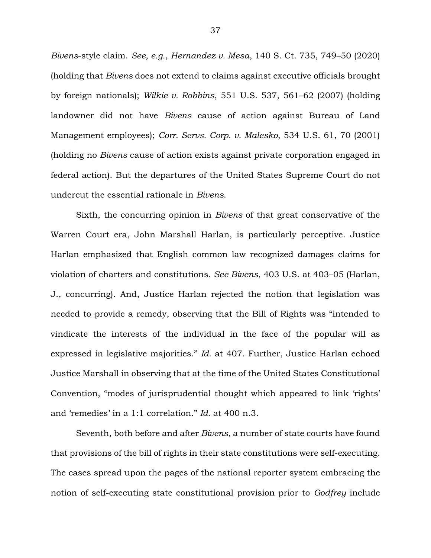*Bivens*-style claim. *See, e.g.*, *Hernandez v. Mesa*, 140 S. Ct. 735, 749–50 (2020) (holding that *Bivens* does not extend to claims against executive officials brought by foreign nationals); *Wilkie v. Robbins*, 551 U.S. 537, 561–62 (2007) (holding landowner did not have *Bivens* cause of action against Bureau of Land Management employees); *Corr. Servs. Corp. v. Malesko*, 534 U.S. 61, 70 (2001) (holding no *Bivens* cause of action exists against private corporation engaged in federal action). But the departures of the United States Supreme Court do not undercut the essential rationale in *Bivens*.

Sixth, the concurring opinion in *Bivens* of that great conservative of the Warren Court era, John Marshall Harlan, is particularly perceptive. Justice Harlan emphasized that English common law recognized damages claims for violation of charters and constitutions. *See Bivens*, 403 U.S. at 403–05 (Harlan, J., concurring). And, Justice Harlan rejected the notion that legislation was needed to provide a remedy, observing that the Bill of Rights was "intended to vindicate the interests of the individual in the face of the popular will as expressed in legislative majorities." *Id.* at 407. Further, Justice Harlan echoed Justice Marshall in observing that at the time of the United States Constitutional Convention, "modes of jurisprudential thought which appeared to link 'rights' and 'remedies' in a 1:1 correlation." *Id.* at 400 n.3.

Seventh, both before and after *Bivens*, a number of state courts have found that provisions of the bill of rights in their state constitutions were self-executing. The cases spread upon the pages of the national reporter system embracing the notion of self-executing state constitutional provision prior to *Godfrey* include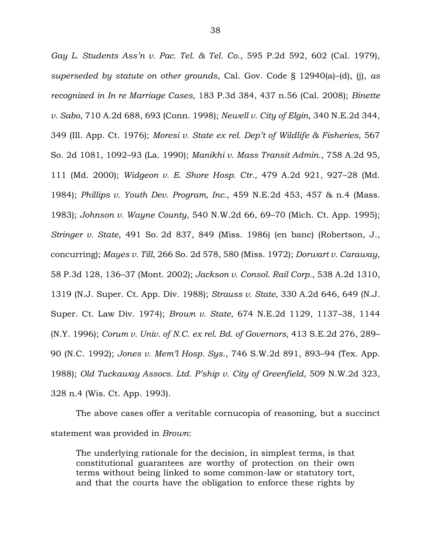*Gay L. Students Ass'n v. Pac. Tel. & Tel. Co.*, 595 P.2d 592, 602 (Cal. 1979), *superseded by statute on other grounds*, Cal. Gov. Code § 12940(a)–(d), (j), *as recognized in In re Marriage Cases*, 183 P.3d 384, 437 n.56 (Cal. 2008); *Binette v. Sabo*, 710 A.2d 688, 693 (Conn. 1998); *Newell v. City of Elgin*, 340 N.E.2d 344, 349 (Ill. App. Ct. 1976); *Moresi v. State ex rel. Dep't of Wildlife & Fisheries*, 567 So. 2d 1081, 1092–93 (La. 1990); *Manikhi v. Mass Transit Admin.*, 758 A.2d 95, 111 (Md. 2000); *Widgeon v. E. Shore Hosp. Ctr.*, 479 A.2d 921, 927–28 (Md. 1984); *Phillips v. Youth Dev. Program, Inc.*, 459 N.E.2d 453, 457 & n.4 (Mass. 1983); *Johnson v. Wayne County*, 540 N.W.2d 66, 69–70 (Mich. Ct. App. 1995); *Stringer v. State*, 491 So. 2d 837, 849 (Miss. 1986) (en banc) (Robertson, J., concurring); *Mayes v. Till*, 266 So. 2d 578, 580 (Miss. 1972); *Dorwart v. Caraway*, 58 P.3d 128, 136–37 (Mont. 2002); *Jackson v. Consol. Rail Corp.*, 538 A.2d 1310, 1319 (N.J. Super. Ct. App. Div. 1988); *Strauss v. State*, 330 A.2d 646, 649 (N.J. Super. Ct. Law Div. 1974); *Brown v. State*, 674 N.E.2d 1129, 1137–38, 1144 (N.Y. 1996); *Corum v. Univ. of N.C*. *ex rel. Bd. of Governors*, 413 S.E.2d 276, 289– 90 (N.C. 1992); *Jones v. Mem'l Hosp. Sys.*, 746 S.W.2d 891, 893–94 (Tex. App. 1988); *Old Tuckaway Assocs. Ltd. P'ship v. City of Greenfield*, 509 N.W.2d 323, 328 n.4 (Wis. Ct. App. 1993).

The above cases offer a veritable cornucopia of reasoning, but a succinct statement was provided in *Brown*:

The underlying rationale for the decision, in simplest terms, is that constitutional guarantees are worthy of protection on their own terms without being linked to some common-law or statutory tort, and that the courts have the obligation to enforce these rights by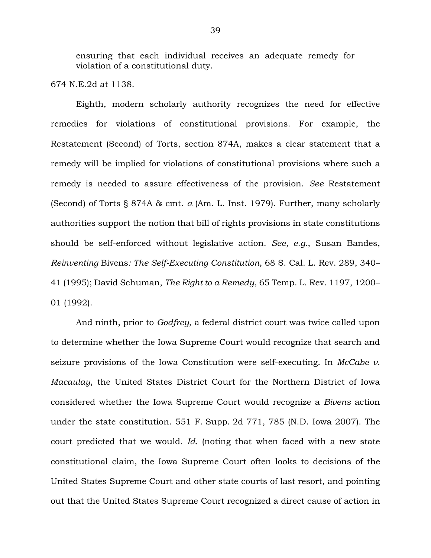ensuring that each individual receives an adequate remedy for violation of a constitutional duty.

674 N.E.2d at 1138.

Eighth, modern scholarly authority recognizes the need for effective remedies for violations of constitutional provisions. For example, the Restatement (Second) of Torts, section 874A, makes a clear statement that a remedy will be implied for violations of constitutional provisions where such a remedy is needed to assure effectiveness of the provision. *See* Restatement (Second) of Torts § 874A & cmt. *a* (Am. L. Inst. 1979). Further, many scholarly authorities support the notion that bill of rights provisions in state constitutions should be self-enforced without legislative action. *See, e.g.*, Susan Bandes, *Reinventing* Bivens*: The Self-Executing Constitution*, 68 S. Cal. L. Rev. 289, 340– 41 (1995); David Schuman, *The Right to a Remedy*, 65 Temp. L. Rev. 1197, 1200– 01 (1992).

And ninth, prior to *Godfrey*, a federal district court was twice called upon to determine whether the Iowa Supreme Court would recognize that search and seizure provisions of the Iowa Constitution were self-executing. In *McCabe v. Macaulay*, the United States District Court for the Northern District of Iowa considered whether the Iowa Supreme Court would recognize a *Bivens* action under the state constitution. 551 F. Supp. 2d 771, 785 (N.D. Iowa 2007). The court predicted that we would. *Id.* (noting that when faced with a new state constitutional claim, the Iowa Supreme Court often looks to decisions of the United States Supreme Court and other state courts of last resort, and pointing out that the United States Supreme Court recognized a direct cause of action in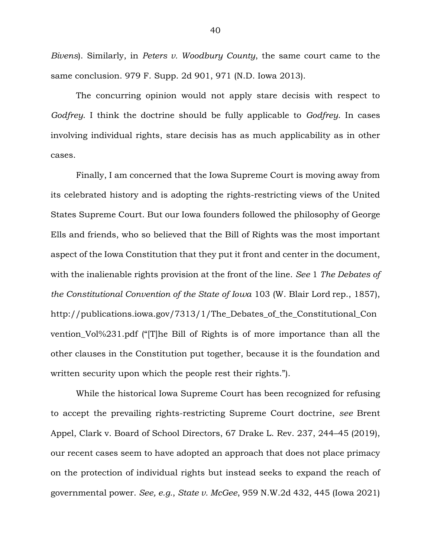*Bivens*). Similarly, in *Peters v. Woodbury County*, the same court came to the same conclusion. 979 F. Supp. 2d 901, 971 (N.D. Iowa 2013).

The concurring opinion would not apply stare decisis with respect to *Godfrey*. I think the doctrine should be fully applicable to *Godfrey*. In cases involving individual rights, stare decisis has as much applicability as in other cases.

Finally, I am concerned that the Iowa Supreme Court is moving away from its celebrated history and is adopting the rights-restricting views of the United States Supreme Court. But our Iowa founders followed the philosophy of George Ells and friends, who so believed that the Bill of Rights was the most important aspect of the Iowa Constitution that they put it front and center in the document, with the inalienable rights provision at the front of the line. *See* 1 *The Debates of the Constitutional Convention of the State of Iowa* 103 (W. Blair Lord rep., 1857), http://publications.iowa.gov/7313/1/The\_Debates\_of\_the\_Constitutional\_Con vention\_Vol%231.pdf ("[T]he Bill of Rights is of more importance than all the other clauses in the Constitution put together, because it is the foundation and written security upon which the people rest their rights.").

While the historical Iowa Supreme Court has been recognized for refusing to accept the prevailing rights-restricting Supreme Court doctrine, *see* Brent Appel, Clark v. Board of School Directors, 67 Drake L. Rev. 237, 244–45 (2019), our recent cases seem to have adopted an approach that does not place primacy on the protection of individual rights but instead seeks to expand the reach of governmental power. *See, e.g.*, *State v. McGee*, 959 N.W.2d 432, 445 (Iowa 2021)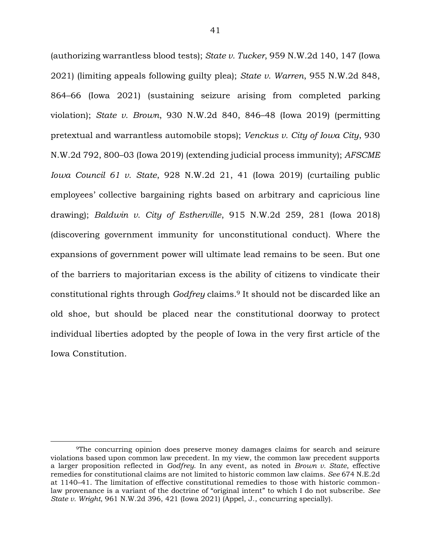(authorizing warrantless blood tests); *State v. Tucker*, 959 N.W.2d 140, 147 (Iowa 2021) (limiting appeals following guilty plea); *State v. Warren*, 955 N.W.2d 848, 864–66 (Iowa 2021) (sustaining seizure arising from completed parking violation); *State v. Brown*, 930 N.W.2d 840, 846–48 (Iowa 2019) (permitting pretextual and warrantless automobile stops); *Venckus v. City of Iowa City*, 930 N.W.2d 792, 800–03 (Iowa 2019) (extending judicial process immunity); *AFSCME Iowa Council 61 v. State*, 928 N.W.2d 21, 41 (Iowa 2019) (curtailing public employees' collective bargaining rights based on arbitrary and capricious line drawing); *Baldwin v. City of Estherville*, 915 N.W.2d 259, 281 (Iowa 2018) (discovering government immunity for unconstitutional conduct). Where the expansions of government power will ultimate lead remains to be seen. But one of the barriers to majoritarian excess is the ability of citizens to vindicate their constitutional rights through *Godfrey* claims.<sup>9</sup> It should not be discarded like an old shoe, but should be placed near the constitutional doorway to protect individual liberties adopted by the people of Iowa in the very first article of the Iowa Constitution.

<sup>9</sup>The concurring opinion does preserve money damages claims for search and seizure violations based upon common law precedent. In my view, the common law precedent supports a larger proposition reflected in *Godfrey*. In any event, as noted in *Brown v. State*, effective remedies for constitutional claims are not limited to historic common law claims. *See* 674 N.E.2d at 1140–41. The limitation of effective constitutional remedies to those with historic commonlaw provenance is a variant of the doctrine of "original intent" to which I do not subscribe. *See State v. Wright*, 961 N.W.2d 396, 421 (Iowa 2021) (Appel, J., concurring specially).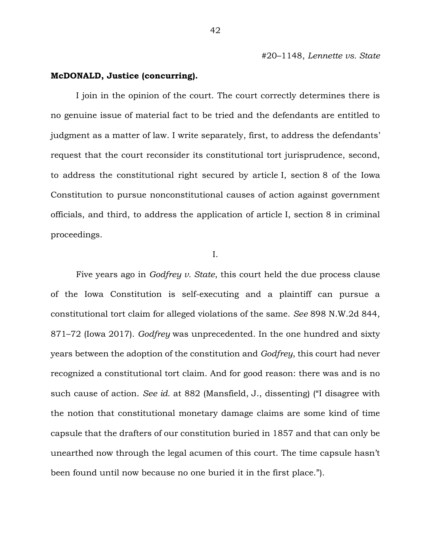#20–1148, *Lennette vs. State*

### **McDONALD, Justice (concurring).**

I join in the opinion of the court. The court correctly determines there is no genuine issue of material fact to be tried and the defendants are entitled to judgment as a matter of law. I write separately, first, to address the defendants' request that the court reconsider its constitutional tort jurisprudence, second, to address the constitutional right secured by article I, section 8 of the Iowa Constitution to pursue nonconstitutional causes of action against government officials, and third, to address the application of article I, section 8 in criminal proceedings.

I.

Five years ago in *Godfrey v. State*, this court held the due process clause of the Iowa Constitution is self-executing and a plaintiff can pursue a constitutional tort claim for alleged violations of the same. *See* 898 N.W.2d 844, 871–72 (Iowa 2017). *Godfrey* was unprecedented. In the one hundred and sixty years between the adoption of the constitution and *Godfrey*, this court had never recognized a constitutional tort claim. And for good reason: there was and is no such cause of action. *See id.* at 882 (Mansfield, J., dissenting) ("I disagree with the notion that constitutional monetary damage claims are some kind of time capsule that the drafters of our constitution buried in 1857 and that can only be unearthed now through the legal acumen of this court. The time capsule hasn't been found until now because no one buried it in the first place.").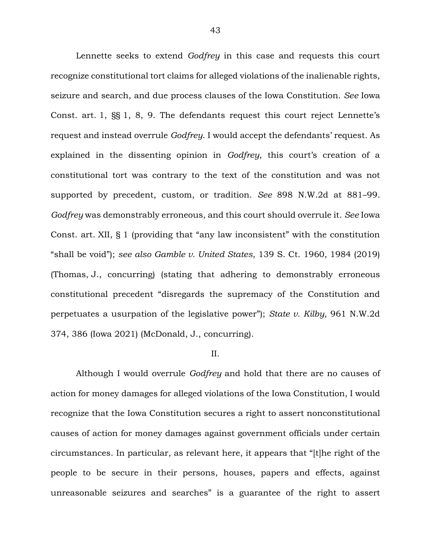Lennette seeks to extend *Godfrey* in this case and requests this court recognize constitutional tort claims for alleged violations of the inalienable rights, seizure and search, and due process clauses of the Iowa Constitution. *See* Iowa Const. art. 1, §§ 1, 8, 9. The defendants request this court reject Lennette's request and instead overrule *Godfrey*. I would accept the defendants' request. As explained in the dissenting opinion in *Godfrey*, this court's creation of a constitutional tort was contrary to the text of the constitution and was not supported by precedent, custom, or tradition. *See* 898 N.W.2d at 881–99. *Godfrey* was demonstrably erroneous, and this court should overrule it. *See* Iowa Const. art. XII, § 1 (providing that "any law inconsistent" with the constitution "shall be void"); *see also Gamble v. United States*, 139 S. Ct. 1960, 1984 (2019) (Thomas, J., concurring) (stating that adhering to demonstrably erroneous constitutional precedent "disregards the supremacy of the Constitution and perpetuates a usurpation of the legislative power"); *State v. Kilby*, 961 N.W.2d 374, 386 (Iowa 2021) (McDonald, J., concurring).

### II.

Although I would overrule *Godfrey* and hold that there are no causes of action for money damages for alleged violations of the Iowa Constitution, I would recognize that the Iowa Constitution secures a right to assert nonconstitutional causes of action for money damages against government officials under certain circumstances. In particular, as relevant here, it appears that "[t]he right of the people to be secure in their persons, houses, papers and effects, against unreasonable seizures and searches" is a guarantee of the right to assert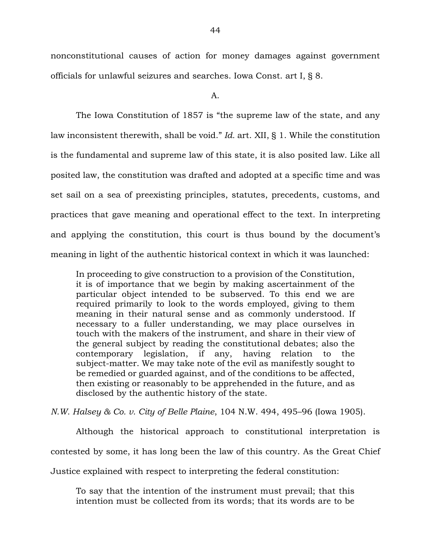nonconstitutional causes of action for money damages against government officials for unlawful seizures and searches. Iowa Const. art I, § 8.

A.

The Iowa Constitution of 1857 is "the supreme law of the state, and any law inconsistent therewith, shall be void." *Id.* art. XII, § 1. While the constitution is the fundamental and supreme law of this state, it is also posited law. Like all posited law, the constitution was drafted and adopted at a specific time and was set sail on a sea of preexisting principles, statutes, precedents, customs, and practices that gave meaning and operational effect to the text. In interpreting and applying the constitution, this court is thus bound by the document's meaning in light of the authentic historical context in which it was launched:

In proceeding to give construction to a provision of the Constitution, it is of importance that we begin by making ascertainment of the particular object intended to be subserved. To this end we are required primarily to look to the words employed, giving to them meaning in their natural sense and as commonly understood. If necessary to a fuller understanding, we may place ourselves in touch with the makers of the instrument, and share in their view of the general subject by reading the constitutional debates; also the contemporary legislation, if any, having relation to the subject-matter. We may take note of the evil as manifestly sought to be remedied or guarded against, and of the conditions to be affected, then existing or reasonably to be apprehended in the future, and as disclosed by the authentic history of the state.

*N.W. Halsey & Co. v. City of Belle Plaine*, 104 N.W. 494, 495–96 (Iowa 1905).

Although the historical approach to constitutional interpretation is contested by some, it has long been the law of this country. As the Great Chief Justice explained with respect to interpreting the federal constitution:

To say that the intention of the instrument must prevail; that this intention must be collected from its words; that its words are to be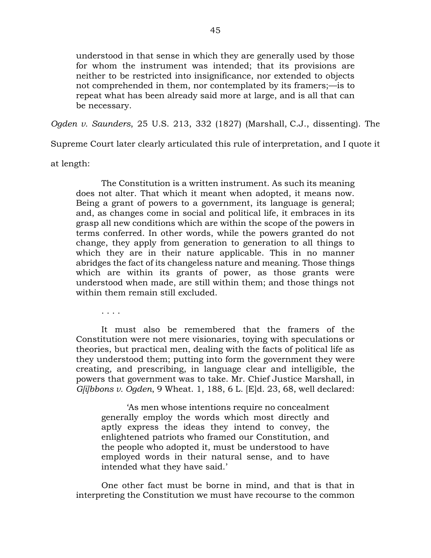understood in that sense in which they are generally used by those for whom the instrument was intended; that its provisions are neither to be restricted into insignificance, nor extended to objects not comprehended in them, nor contemplated by its framers;—is to repeat what has been already said more at large, and is all that can be necessary.

*Ogden v. Saunders*, 25 U.S. 213, 332 (1827) (Marshall, C.J., dissenting). The

Supreme Court later clearly articulated this rule of interpretation, and I quote it

at length:

The Constitution is a written instrument. As such its meaning does not alter. That which it meant when adopted, it means now. Being a grant of powers to a government, its language is general; and, as changes come in social and political life, it embraces in its grasp all new conditions which are within the scope of the powers in terms conferred. In other words, while the powers granted do not change, they apply from generation to generation to all things to which they are in their nature applicable. This in no manner abridges the fact of its changeless nature and meaning. Those things which are within its grants of power, as those grants were understood when made, are still within them; and those things not within them remain still excluded.

. . . .

It must also be remembered that the framers of the Constitution were not mere visionaries, toying with speculations or theories, but practical men, dealing with the facts of political life as they understood them; putting into form the government they were creating, and prescribing, in language clear and intelligible, the powers that government was to take. Mr. Chief Justice Marshall, in *G[i]bbons v. Ogden*, 9 Wheat. 1, 188, 6 L. [E]d. 23, 68, well declared:

'As men whose intentions require no concealment generally employ the words which most directly and aptly express the ideas they intend to convey, the enlightened patriots who framed our Constitution, and the people who adopted it, must be understood to have employed words in their natural sense, and to have intended what they have said.'

One other fact must be borne in mind, and that is that in interpreting the Constitution we must have recourse to the common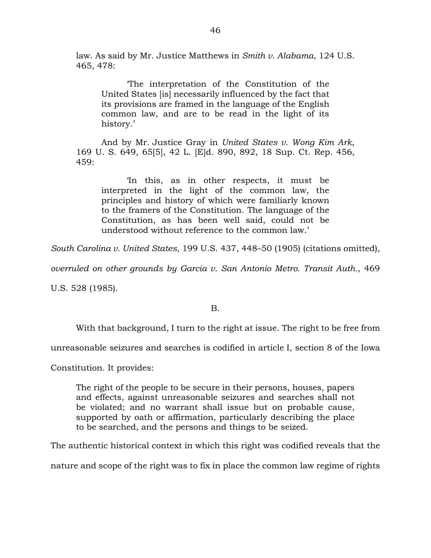law. As said by Mr. Justice Matthews in *Smith v. Alabama*, 124 U.S. 465, 478:

'The interpretation of the Constitution of the United States [is] necessarily influenced by the fact that its provisions are framed in the language of the English common law, and are to be read in the light of its history.'

And by Mr. Justice Gray in *United States v. Wong Kim Ark*, 169 U. S. 649, 65[5], 42 L. [E]d. 890, 892, 18 Sup. Ct. Rep. 456, 459:

'In this, as in other respects, it must be interpreted in the light of the common law, the principles and history of which were familiarly known to the framers of the Constitution. The language of the Constitution, as has been well said, could not be understood without reference to the common law.'

*South Carolina v. United States*, 199 U.S. 437, 448–50 (1905) (citations omitted),

*overruled on other grounds by Garcia v. San Antonio Metro. Transit Auth.*, 469

U.S. 528 (1985).

# B.

With that background, I turn to the right at issue. The right to be free from

unreasonable seizures and searches is codified in article I, section 8 of the Iowa

Constitution. It provides:

The right of the people to be secure in their persons, houses, papers and effects, against unreasonable seizures and searches shall not be violated; and no warrant shall issue but on probable cause, supported by oath or affirmation, particularly describing the place to be searched, and the persons and things to be seized.

The authentic historical context in which this right was codified reveals that the

nature and scope of the right was to fix in place the common law regime of rights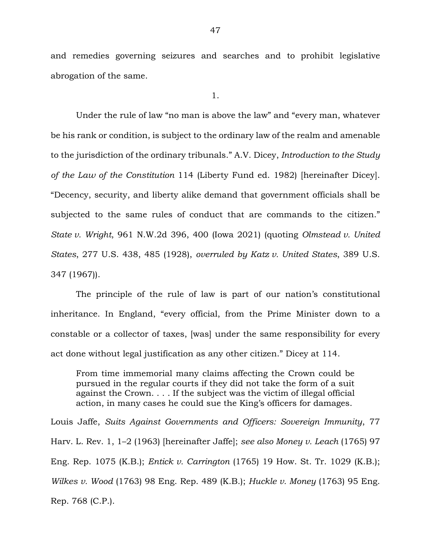and remedies governing seizures and searches and to prohibit legislative abrogation of the same.

1.

Under the rule of law "no man is above the law" and "every man, whatever be his rank or condition, is subject to the ordinary law of the realm and amenable to the jurisdiction of the ordinary tribunals." A.V. Dicey, *Introduction to the Study of the Law of the Constitution* 114 (Liberty Fund ed. 1982) [hereinafter Dicey]. "Decency, security, and liberty alike demand that government officials shall be subjected to the same rules of conduct that are commands to the citizen." *State v. Wright*, 961 N.W.2d 396, 400 (Iowa 2021) (quoting *Olmstead v. United States*, 277 U.S. 438, 485 (1928), *overruled by Katz v. United States*, 389 U.S. 347 (1967)).

The principle of the rule of law is part of our nation's constitutional inheritance. In England, "every official, from the Prime Minister down to a constable or a collector of taxes, [was] under the same responsibility for every act done without legal justification as any other citizen." Dicey at 114.

From time immemorial many claims affecting the Crown could be pursued in the regular courts if they did not take the form of a suit against the Crown. . . . If the subject was the victim of illegal official action, in many cases he could sue the King's officers for damages.

Louis Jaffe, *Suits Against Governments and Officers: Sovereign Immunity*, 77 Harv. L. Rev. 1, 1–2 (1963) [hereinafter Jaffe]; *see also Money v. Leach* (1765) 97 Eng. Rep. 1075 (K.B.); *Entick v. Carrington* (1765) 19 How. St. Tr. 1029 (K.B.); *Wilkes v. Wood* (1763) 98 Eng. Rep. 489 (K.B.); *Huckle v. Money* (1763) 95 Eng. Rep. 768 (C.P.).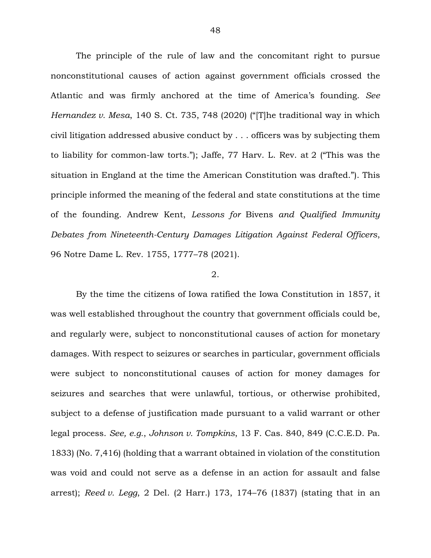The principle of the rule of law and the concomitant right to pursue nonconstitutional causes of action against government officials crossed the Atlantic and was firmly anchored at the time of America's founding. *See Hernandez v. Mesa*, 140 S. Ct. 735, 748 (2020) ("[T]he traditional way in which civil litigation addressed abusive conduct by . . . officers was by subjecting them to liability for common-law torts."); Jaffe, 77 Harv. L. Rev. at 2 ("This was the situation in England at the time the American Constitution was drafted."). This principle informed the meaning of the federal and state constitutions at the time of the founding. Andrew Kent, *Lessons for* Bivens *and Qualified Immunity Debates from Nineteenth-Century Damages Litigation Against Federal Officers*, 96 Notre Dame L. Rev. 1755, 1777–78 (2021).

# 2.

By the time the citizens of Iowa ratified the Iowa Constitution in 1857, it was well established throughout the country that government officials could be, and regularly were, subject to nonconstitutional causes of action for monetary damages. With respect to seizures or searches in particular, government officials were subject to nonconstitutional causes of action for money damages for seizures and searches that were unlawful, tortious, or otherwise prohibited, subject to a defense of justification made pursuant to a valid warrant or other legal process. *See, e.g.*, *Johnson v. Tompkins*, 13 F. Cas. 840, 849 (C.C.E.D. Pa. 1833) (No. 7,416) (holding that a warrant obtained in violation of the constitution was void and could not serve as a defense in an action for assault and false arrest); *Reed v. Legg*, 2 Del. (2 Harr.) 173, 174–76 (1837) (stating that in an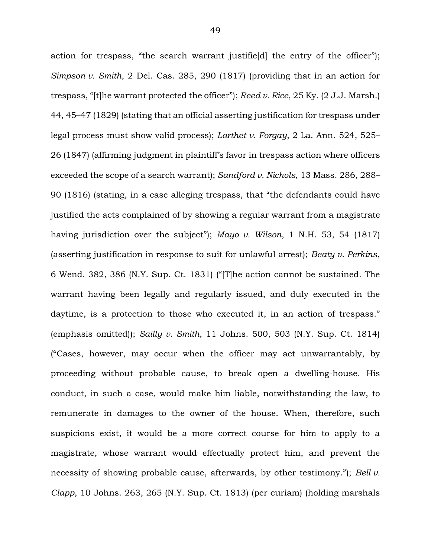action for trespass, "the search warrant justifie[d] the entry of the officer"); *Simpson v. Smith*, 2 Del. Cas. 285, 290 (1817) (providing that in an action for trespass, "[t]he warrant protected the officer"); *Reed v. Rice*, 25 Ky. (2 J.J. Marsh.) 44, 45–47 (1829) (stating that an official asserting justification for trespass under legal process must show valid process); *Larthet v. Forgay*, 2 La. Ann. 524, 525– 26 (1847) (affirming judgment in plaintiff's favor in trespass action where officers exceeded the scope of a search warrant); *Sandford v. Nichols*, 13 Mass. 286, 288– 90 (1816) (stating, in a case alleging trespass, that "the defendants could have justified the acts complained of by showing a regular warrant from a magistrate having jurisdiction over the subject"); *Mayo v. Wilson*, 1 N.H. 53, 54 (1817) (asserting justification in response to suit for unlawful arrest); *Beaty v. Perkins*, 6 Wend. 382, 386 (N.Y. Sup. Ct. 1831) ("[T]he action cannot be sustained. The warrant having been legally and regularly issued, and duly executed in the daytime, is a protection to those who executed it, in an action of trespass." (emphasis omitted)); *Sailly v. Smith*, 11 Johns. 500, 503 (N.Y. Sup. Ct. 1814) ("Cases, however, may occur when the officer may act unwarrantably, by proceeding without probable cause, to break open a dwelling-house. His conduct, in such a case, would make him liable, notwithstanding the law, to remunerate in damages to the owner of the house. When, therefore, such suspicions exist, it would be a more correct course for him to apply to a magistrate, whose warrant would effectually protect him, and prevent the necessity of showing probable cause, afterwards, by other testimony."); *Bell v. Clapp*, 10 Johns. 263, 265 (N.Y. Sup. Ct. 1813) (per curiam) (holding marshals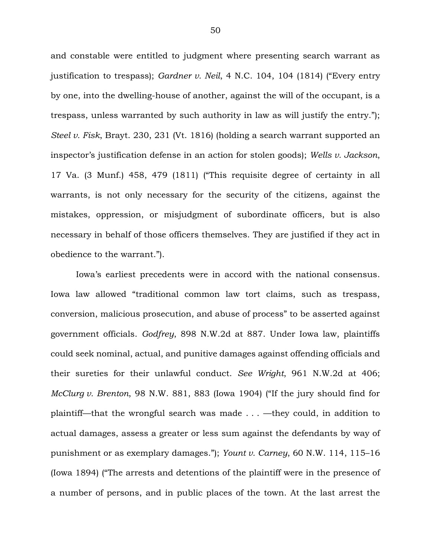and constable were entitled to judgment where presenting search warrant as justification to trespass); *Gardner v. Neil*, 4 N.C. 104, 104 (1814) ("Every entry by one, into the dwelling-house of another, against the will of the occupant, is a trespass, unless warranted by such authority in law as will justify the entry."); *Steel v. Fisk*, Brayt. 230, 231 (Vt. 1816) (holding a search warrant supported an inspector's justification defense in an action for stolen goods); *Wells v. Jackson*, 17 Va. (3 Munf.) 458, 479 (1811) ("This requisite degree of certainty in all warrants, is not only necessary for the security of the citizens, against the mistakes, oppression, or misjudgment of subordinate officers, but is also necessary in behalf of those officers themselves. They are justified if they act in obedience to the warrant.").

Iowa's earliest precedents were in accord with the national consensus. Iowa law allowed "traditional common law tort claims, such as trespass, conversion, malicious prosecution, and abuse of process" to be asserted against government officials. *Godfrey*, 898 N.W.2d at 887. Under Iowa law, plaintiffs could seek nominal, actual, and punitive damages against offending officials and their sureties for their unlawful conduct. *See Wright*, 961 N.W.2d at 406; *McClurg v. Brenton*, 98 N.W. 881, 883 (Iowa 1904) ("If the jury should find for plaintiff—that the wrongful search was made . . . —they could, in addition to actual damages, assess a greater or less sum against the defendants by way of punishment or as exemplary damages."); *Yount v. Carney*, 60 N.W. 114, 115–16 (Iowa 1894) ("The arrests and detentions of the plaintiff were in the presence of a number of persons, and in public places of the town. At the last arrest the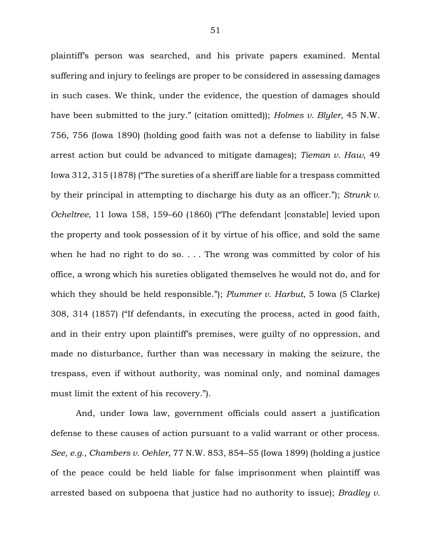plaintiff's person was searched, and his private papers examined. Mental suffering and injury to feelings are proper to be considered in assessing damages in such cases. We think, under the evidence, the question of damages should have been submitted to the jury." (citation omitted)); *Holmes v. Blyler*, 45 N.W. 756, 756 (Iowa 1890) (holding good faith was not a defense to liability in false arrest action but could be advanced to mitigate damages); *Tieman v. Haw*, 49 Iowa 312, 315 (1878) ("The sureties of a sheriff are liable for a trespass committed by their principal in attempting to discharge his duty as an officer."); *Strunk v. Ocheltree*, 11 Iowa 158, 159–60 (1860) ("The defendant [constable] levied upon the property and took possession of it by virtue of his office, and sold the same when he had no right to do so.  $\ldots$  The wrong was committed by color of his office, a wrong which his sureties obligated themselves he would not do, and for which they should be held responsible."); *Plummer v. Harbut*, 5 Iowa (5 Clarke) 308, 314 (1857) ("If defendants, in executing the process, acted in good faith, and in their entry upon plaintiff's premises, were guilty of no oppression, and made no disturbance, further than was necessary in making the seizure, the trespass, even if without authority, was nominal only, and nominal damages must limit the extent of his recovery.").

And, under Iowa law, government officials could assert a justification defense to these causes of action pursuant to a valid warrant or other process. *See, e.g.*, *Chambers v. Oehler*, 77 N.W. 853, 854–55 (Iowa 1899) (holding a justice of the peace could be held liable for false imprisonment when plaintiff was arrested based on subpoena that justice had no authority to issue); *Bradley v.*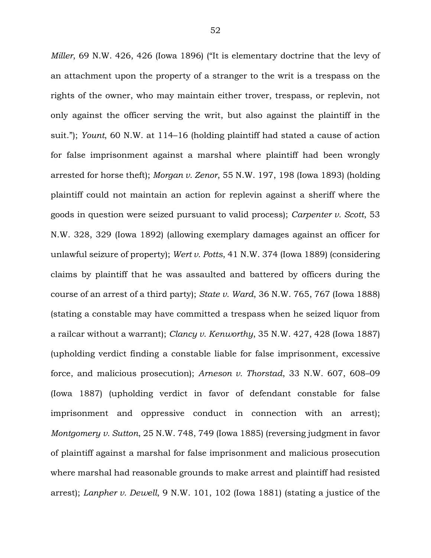*Miller*, 69 N.W. 426, 426 (Iowa 1896) ("It is elementary doctrine that the levy of an attachment upon the property of a stranger to the writ is a trespass on the rights of the owner, who may maintain either trover, trespass, or replevin, not only against the officer serving the writ, but also against the plaintiff in the suit."); *Yount*, 60 N.W. at 114–16 (holding plaintiff had stated a cause of action for false imprisonment against a marshal where plaintiff had been wrongly arrested for horse theft); *Morgan v. Zenor*, 55 N.W. 197, 198 (Iowa 1893) (holding plaintiff could not maintain an action for replevin against a sheriff where the goods in question were seized pursuant to valid process); *Carpenter v. Scott*, 53 N.W. 328, 329 (Iowa 1892) (allowing exemplary damages against an officer for unlawful seizure of property); *Wert v. Potts*, 41 N.W. 374 (Iowa 1889) (considering claims by plaintiff that he was assaulted and battered by officers during the course of an arrest of a third party); *State v. Ward*, 36 N.W. 765, 767 (Iowa 1888) (stating a constable may have committed a trespass when he seized liquor from a railcar without a warrant); *Clancy v. Kenworthy*, 35 N.W. 427, 428 (Iowa 1887) (upholding verdict finding a constable liable for false imprisonment, excessive force, and malicious prosecution); *Arneson v. Thorstad*, 33 N.W. 607, 608–09 (Iowa 1887) (upholding verdict in favor of defendant constable for false imprisonment and oppressive conduct in connection with an arrest); *Montgomery v. Sutton*, 25 N.W. 748, 749 (Iowa 1885) (reversing judgment in favor of plaintiff against a marshal for false imprisonment and malicious prosecution where marshal had reasonable grounds to make arrest and plaintiff had resisted arrest); *Lanpher v. Dewell*, 9 N.W. 101, 102 (Iowa 1881) (stating a justice of the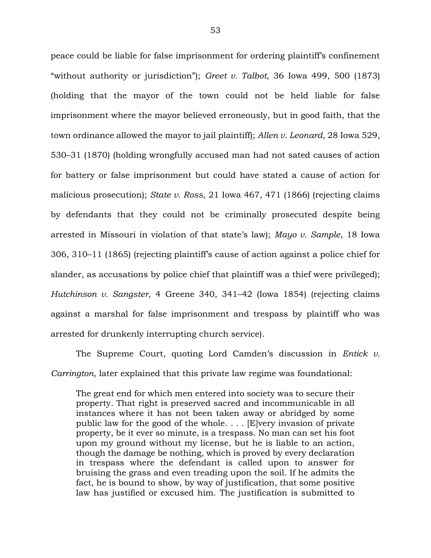peace could be liable for false imprisonment for ordering plaintiff's confinement "without authority or jurisdiction"); *Greet v. Talbot*, 36 Iowa 499, 500 (1873) (holding that the mayor of the town could not be held liable for false imprisonment where the mayor believed erroneously, but in good faith, that the town ordinance allowed the mayor to jail plaintiff); *Allen v. Leonard*, 28 Iowa 529, 530–31 (1870) (holding wrongfully accused man had not sated causes of action for battery or false imprisonment but could have stated a cause of action for malicious prosecution); *State v. Ross*, 21 Iowa 467, 471 (1866) (rejecting claims by defendants that they could not be criminally prosecuted despite being arrested in Missouri in violation of that state's law); *Mayo v. Sample*, 18 Iowa 306, 310–11 (1865) (rejecting plaintiff's cause of action against a police chief for slander, as accusations by police chief that plaintiff was a thief were privileged); *Hutchinson v. Sangster*, 4 Greene 340, 341–42 (Iowa 1854) (rejecting claims against a marshal for false imprisonment and trespass by plaintiff who was arrested for drunkenly interrupting church service).

The Supreme Court, quoting Lord Camden's discussion in *Entick v. Carrington*, later explained that this private law regime was foundational:

The great end for which men entered into society was to secure their property. That right is preserved sacred and incommunicable in all instances where it has not been taken away or abridged by some public law for the good of the whole. . . . [E]very invasion of private property, be it ever so minute, is a trespass. No man can set his foot upon my ground without my license, but he is liable to an action, though the damage be nothing, which is proved by every declaration in trespass where the defendant is called upon to answer for bruising the grass and even treading upon the soil. If he admits the fact, he is bound to show, by way of justification, that some positive law has justified or excused him. The justification is submitted to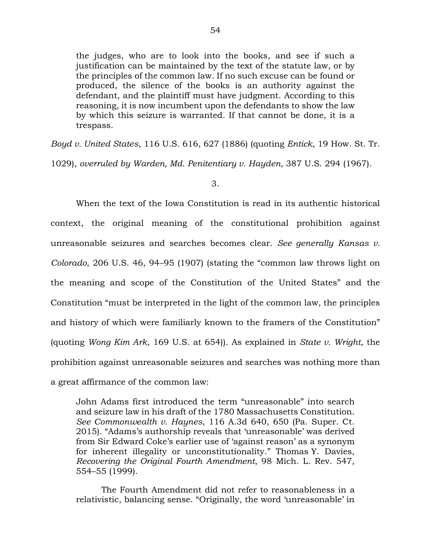the judges, who are to look into the books, and see if such a justification can be maintained by the text of the statute law, or by the principles of the common law. If no such excuse can be found or produced, the silence of the books is an authority against the defendant, and the plaintiff must have judgment. According to this reasoning, it is now incumbent upon the defendants to show the law by which this seizure is warranted. If that cannot be done, it is a trespass.

*Boyd v. United States*, 116 U.S. 616, 627 (1886) (quoting *Entick*, 19 How. St. Tr.

1029), *overruled by Warden, Md. Penitentiary v. Hayden*, 387 U.S. 294 (1967).

### 3.

When the text of the Iowa Constitution is read in its authentic historical context, the original meaning of the constitutional prohibition against unreasonable seizures and searches becomes clear. *See generally Kansas v. Colorado*, 206 U.S. 46, 94–95 (1907) (stating the "common law throws light on the meaning and scope of the Constitution of the United States" and the Constitution "must be interpreted in the light of the common law, the principles and history of which were familiarly known to the framers of the Constitution" (quoting *Wong Kim Ark*, 169 U.S. at 654)). As explained in *State v. Wright*, the prohibition against unreasonable seizures and searches was nothing more than a great affirmance of the common law:

John Adams first introduced the term "unreasonable" into search and seizure law in his draft of the 1780 Massachusetts Constitution. *See Commonwealth v. Haynes*, 116 A.3d 640, 650 (Pa. Super. Ct. 2015). "Adams's authorship reveals that 'unreasonable' was derived from Sir Edward Coke's earlier use of 'against reason' as a synonym for inherent illegality or unconstitutionality." Thomas Y. Davies, *Recovering the Original Fourth Amendment*, 98 Mich. L. Rev. 547, 554–55 (1999).

The Fourth Amendment did not refer to reasonableness in a relativistic, balancing sense. "Originally, the word 'unreasonable' in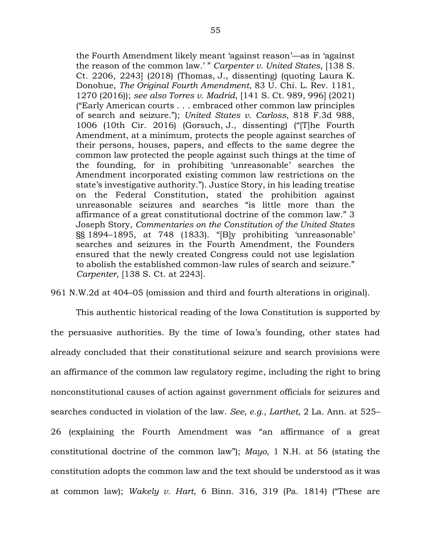the Fourth Amendment likely meant 'against reason'—as in 'against the reason of the common law.' " *Carpenter v. United States*, [138 S. Ct. 2206, 2243] (2018) (Thomas, J., dissenting) (quoting Laura K. Donohue, *The Original Fourth Amendment*, 83 U. Chi. L. Rev. 1181, 1270 (2016)); *see also Torres v. Madrid*, [141 S. Ct. 989, 996] (2021) ("Early American courts . . . embraced other common law principles of search and seizure."); *United States v. Carloss*, 818 F.3d 988, 1006 (10th Cir. 2016) (Gorsuch, J., dissenting) ("[T]he Fourth Amendment, at a minimum, protects the people against searches of their persons, houses, papers, and effects to the same degree the common law protected the people against such things at the time of the founding, for in prohibiting 'unreasonable' searches the Amendment incorporated existing common law restrictions on the state's investigative authority."). Justice Story, in his leading treatise on the Federal Constitution, stated the prohibition against unreasonable seizures and searches "is little more than the affirmance of a great constitutional doctrine of the common law." 3 Joseph Story, *Commentaries on the Constitution of the United States* §§ 1894–1895, at 748 (1833). "[B]y prohibiting 'unreasonable' searches and seizures in the Fourth Amendment, the Founders ensured that the newly created Congress could not use legislation to abolish the established common-law rules of search and seizure." *Carpenter*, [138 S. Ct. at 2243].

961 N.W.2d at 404–05 (omission and third and fourth alterations in original).

This authentic historical reading of the Iowa Constitution is supported by the persuasive authorities. By the time of Iowa's founding, other states had already concluded that their constitutional seizure and search provisions were an affirmance of the common law regulatory regime, including the right to bring nonconstitutional causes of action against government officials for seizures and searches conducted in violation of the law. *See, e.g.*, *Larthet*, 2 La. Ann. at 525– 26 (explaining the Fourth Amendment was "an affirmance of a great constitutional doctrine of the common law"); *Mayo*, 1 N.H. at 56 (stating the constitution adopts the common law and the text should be understood as it was at common law); *Wakely v. Hart*, 6 Binn. 316, 319 (Pa. 1814) ("These are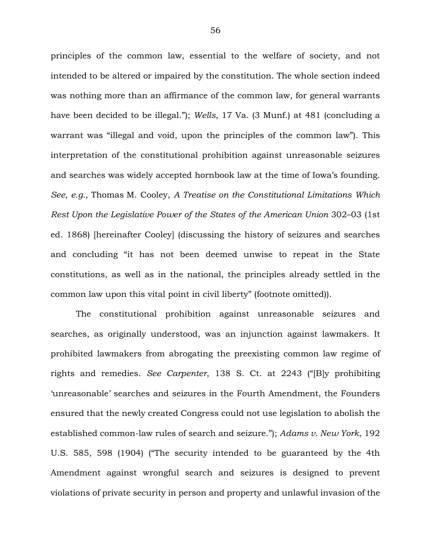principles of the common law, essential to the welfare of society, and not intended to be altered or impaired by the constitution. The whole section indeed was nothing more than an affirmance of the common law, for general warrants have been decided to be illegal."); *Wells*, 17 Va. (3 Munf.) at 481 (concluding a warrant was "illegal and void, upon the principles of the common law"). This interpretation of the constitutional prohibition against unreasonable seizures and searches was widely accepted hornbook law at the time of Iowa's founding. *See, e.g.*, Thomas M. Cooley, *A Treatise on the Constitutional Limitations Which Rest Upon the Legislative Power of the States of the American Union* 302–03 (1st ed. 1868) [hereinafter Cooley] (discussing the history of seizures and searches and concluding "it has not been deemed unwise to repeat in the State constitutions, as well as in the national, the principles already settled in the common law upon this vital point in civil liberty" (footnote omitted)).

The constitutional prohibition against unreasonable seizures and searches, as originally understood, was an injunction against lawmakers. It prohibited lawmakers from abrogating the preexisting common law regime of rights and remedies. *See Carpenter*, 138 S. Ct. at 2243 ("[B]y prohibiting 'unreasonable' searches and seizures in the Fourth Amendment, the Founders ensured that the newly created Congress could not use legislation to abolish the established common-law rules of search and seizure."); *Adams v. New York*, 192 U.S. 585, 598 (1904) ("The security intended to be guaranteed by the 4th Amendment against wrongful search and seizures is designed to prevent violations of private security in person and property and unlawful invasion of the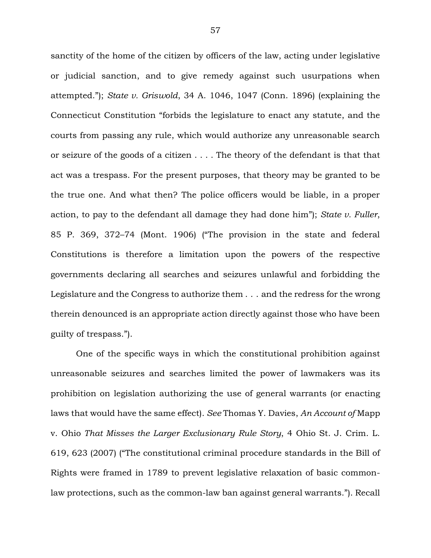sanctity of the home of the citizen by officers of the law, acting under legislative or judicial sanction, and to give remedy against such usurpations when attempted."); *State v. Griswold*, 34 A. 1046, 1047 (Conn. 1896) (explaining the Connecticut Constitution "forbids the legislature to enact any statute, and the courts from passing any rule, which would authorize any unreasonable search or seizure of the goods of a citizen . . . . The theory of the defendant is that that act was a trespass. For the present purposes, that theory may be granted to be the true one. And what then? The police officers would be liable, in a proper action, to pay to the defendant all damage they had done him"); *State v. Fuller*, 85 P. 369, 372–74 (Mont. 1906) ("The provision in the state and federal Constitutions is therefore a limitation upon the powers of the respective governments declaring all searches and seizures unlawful and forbidding the Legislature and the Congress to authorize them . . . and the redress for the wrong therein denounced is an appropriate action directly against those who have been guilty of trespass.").

One of the specific ways in which the constitutional prohibition against unreasonable seizures and searches limited the power of lawmakers was its prohibition on legislation authorizing the use of general warrants (or enacting laws that would have the same effect). *See* Thomas Y. Davies, *An Account of* Mapp v. Ohio *That Misses the Larger Exclusionary Rule Story*, 4 Ohio St. J. Crim. L. 619, 623 (2007) ("The constitutional criminal procedure standards in the Bill of Rights were framed in 1789 to prevent legislative relaxation of basic commonlaw protections, such as the common-law ban against general warrants."). Recall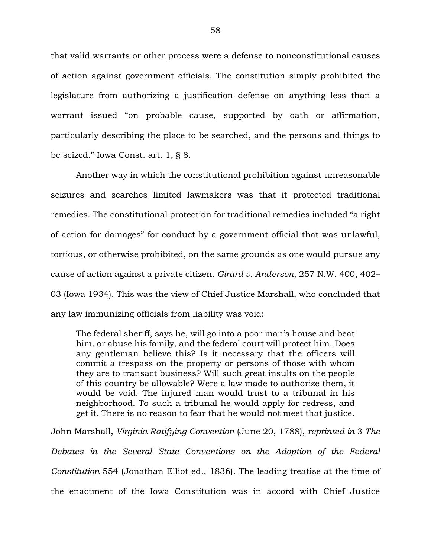that valid warrants or other process were a defense to nonconstitutional causes of action against government officials. The constitution simply prohibited the legislature from authorizing a justification defense on anything less than a warrant issued "on probable cause, supported by oath or affirmation, particularly describing the place to be searched, and the persons and things to be seized." Iowa Const. art. 1, § 8.

Another way in which the constitutional prohibition against unreasonable seizures and searches limited lawmakers was that it protected traditional remedies. The constitutional protection for traditional remedies included "a right of action for damages" for conduct by a government official that was unlawful, tortious, or otherwise prohibited, on the same grounds as one would pursue any cause of action against a private citizen. *Girard v. Anderson*, 257 N.W. 400, 402– 03 (Iowa 1934). This was the view of Chief Justice Marshall, who concluded that any law immunizing officials from liability was void:

The federal sheriff, says he, will go into a poor man's house and beat him, or abuse his family, and the federal court will protect him. Does any gentleman believe this? Is it necessary that the officers will commit a trespass on the property or persons of those with whom they are to transact business? Will such great insults on the people of this country be allowable? Were a law made to authorize them, it would be void. The injured man would trust to a tribunal in his neighborhood. To such a tribunal he would apply for redress, and get it. There is no reason to fear that he would not meet that justice.

John Marshall, *Virginia Ratifying Convention* (June 20, 1788), *reprinted in* 3 *The Debates in the Several State Conventions on the Adoption of the Federal Constitution* 554 (Jonathan Elliot ed., 1836). The leading treatise at the time of the enactment of the Iowa Constitution was in accord with Chief Justice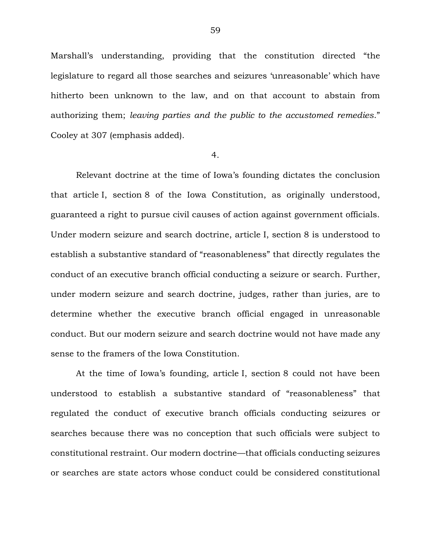Marshall's understanding, providing that the constitution directed "the legislature to regard all those searches and seizures 'unreasonable' which have hitherto been unknown to the law, and on that account to abstain from authorizing them; *leaving parties and the public to the accustomed remedies*." Cooley at 307 (emphasis added).

#### 4.

Relevant doctrine at the time of Iowa's founding dictates the conclusion that article I, section 8 of the Iowa Constitution, as originally understood, guaranteed a right to pursue civil causes of action against government officials. Under modern seizure and search doctrine, article I, section 8 is understood to establish a substantive standard of "reasonableness" that directly regulates the conduct of an executive branch official conducting a seizure or search. Further, under modern seizure and search doctrine, judges, rather than juries, are to determine whether the executive branch official engaged in unreasonable conduct. But our modern seizure and search doctrine would not have made any sense to the framers of the Iowa Constitution.

At the time of Iowa's founding, article I, section 8 could not have been understood to establish a substantive standard of "reasonableness" that regulated the conduct of executive branch officials conducting seizures or searches because there was no conception that such officials were subject to constitutional restraint. Our modern doctrine—that officials conducting seizures or searches are state actors whose conduct could be considered constitutional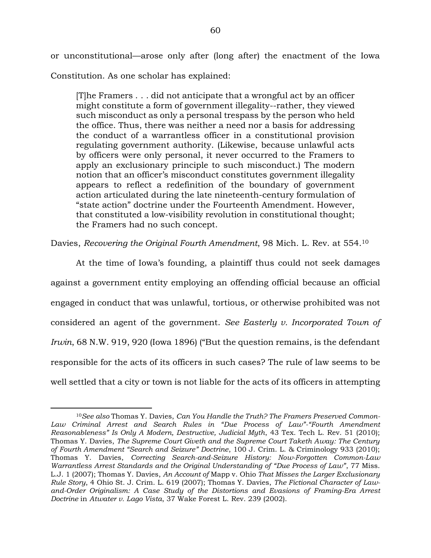or unconstitutional—arose only after (long after) the enactment of the Iowa Constitution. As one scholar has explained:

[T]he Framers . . . did not anticipate that a wrongful act by an officer might constitute a form of government illegality--rather, they viewed such misconduct as only a personal trespass by the person who held the office. Thus, there was neither a need nor a basis for addressing the conduct of a warrantless officer in a constitutional provision regulating government authority. (Likewise, because unlawful acts by officers were only personal, it never occurred to the Framers to apply an exclusionary principle to such misconduct.) The modern notion that an officer's misconduct constitutes government illegality appears to reflect a redefinition of the boundary of government action articulated during the late nineteenth-century formulation of "state action" doctrine under the Fourteenth Amendment. However, that constituted a low-visibility revolution in constitutional thought; the Framers had no such concept.

Davies, *Recovering the Original Fourth Amendment*, 98 Mich. L. Rev. at 554.<sup>10</sup>

At the time of Iowa's founding, a plaintiff thus could not seek damages against a government entity employing an offending official because an official engaged in conduct that was unlawful, tortious, or otherwise prohibited was not considered an agent of the government. *See Easterly v. Incorporated Town of Irwin*, 68 N.W. 919, 920 (Iowa 1896) ("But the question remains, is the defendant responsible for the acts of its officers in such cases? The rule of law seems to be well settled that a city or town is not liable for the acts of its officers in attempting

<sup>10</sup>*See also* Thomas Y. Davies, *Can You Handle the Truth? The Framers Preserved Common-Law Criminal Arrest and Search Rules in "Due Process of Law"-"Fourth Amendment Reasonableness" Is Only A Modern, Destructive, Judicial Myth*, 43 Tex. Tech L. Rev. 51 (2010); Thomas Y. Davies, *The Supreme Court Giveth and the Supreme Court Taketh Away: The Century of Fourth Amendment "Search and Seizure" Doctrine*, 100 J. Crim. L. & Criminology 933 (2010); Thomas Y. Davies, *Correcting Search-and-Seizure History: Now-Forgotten Common-Law Warrantless Arrest Standards and the Original Understanding of "Due Process of Law"*, 77 Miss. L.J. 1 (2007); Thomas Y. Davies, *An Account of* Mapp v. Ohio *That Misses the Larger Exclusionary Rule Story*, 4 Ohio St. J. Crim. L. 619 (2007); Thomas Y. Davies, *The Fictional Character of Lawand-Order Originalism: A Case Study of the Distortions and Evasions of Framing-Era Arrest Doctrine* in *Atwater v. Lago Vista*, 37 Wake Forest L. Rev. 239 (2002).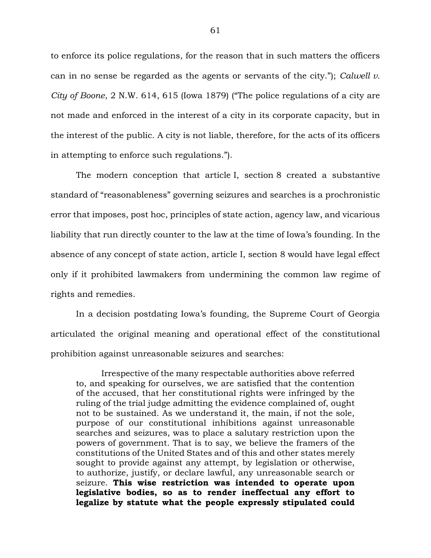to enforce its police regulations, for the reason that in such matters the officers can in no sense be regarded as the agents or servants of the city."); *Calwell v. City of Boone*, 2 N.W. 614, 615 (Iowa 1879) ("The police regulations of a city are not made and enforced in the interest of a city in its corporate capacity, but in the interest of the public. A city is not liable, therefore, for the acts of its officers in attempting to enforce such regulations.").

The modern conception that article I, section 8 created a substantive standard of "reasonableness" governing seizures and searches is a prochronistic error that imposes, post hoc, principles of state action, agency law, and vicarious liability that run directly counter to the law at the time of Iowa's founding. In the absence of any concept of state action, article I, section 8 would have legal effect only if it prohibited lawmakers from undermining the common law regime of rights and remedies.

In a decision postdating Iowa's founding, the Supreme Court of Georgia articulated the original meaning and operational effect of the constitutional prohibition against unreasonable seizures and searches:

Irrespective of the many respectable authorities above referred to, and speaking for ourselves, we are satisfied that the contention of the accused, that her constitutional rights were infringed by the ruling of the trial judge admitting the evidence complained of, ought not to be sustained. As we understand it, the main, if not the sole, purpose of our constitutional inhibitions against unreasonable searches and seizures, was to place a salutary restriction upon the powers of government. That is to say, we believe the framers of the constitutions of the United States and of this and other states merely sought to provide against any attempt, by legislation or otherwise, to authorize, justify, or declare lawful, any unreasonable search or seizure. **This wise restriction was intended to operate upon legislative bodies, so as to render ineffectual any effort to legalize by statute what the people expressly stipulated could**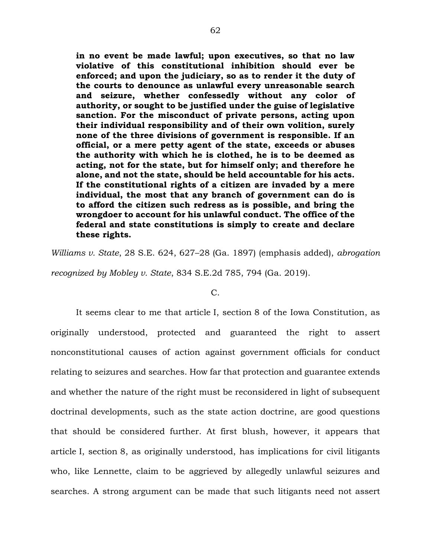**in no event be made lawful; upon executives, so that no law violative of this constitutional inhibition should ever be enforced; and upon the judiciary, so as to render it the duty of the courts to denounce as unlawful every unreasonable search and seizure, whether confessedly without any color of authority, or sought to be justified under the guise of legislative sanction. For the misconduct of private persons, acting upon their individual responsibility and of their own volition, surely none of the three divisions of government is responsible. If an official, or a mere petty agent of the state, exceeds or abuses the authority with which he is clothed, he is to be deemed as acting, not for the state, but for himself only; and therefore he alone, and not the state, should be held accountable for his acts. If the constitutional rights of a citizen are invaded by a mere individual, the most that any branch of government can do is to afford the citizen such redress as is possible, and bring the wrongdoer to account for his unlawful conduct. The office of the federal and state constitutions is simply to create and declare these rights.** 

*Williams v. State*, 28 S.E. 624, 627–28 (Ga. 1897) (emphasis added), *abrogation recognized by Mobley v. State*, 834 S.E.2d 785, 794 (Ga. 2019).

#### $C_{\cdot}$

It seems clear to me that article I, section 8 of the Iowa Constitution, as originally understood, protected and guaranteed the right to assert nonconstitutional causes of action against government officials for conduct relating to seizures and searches. How far that protection and guarantee extends and whether the nature of the right must be reconsidered in light of subsequent doctrinal developments, such as the state action doctrine, are good questions that should be considered further. At first blush, however, it appears that article I, section 8, as originally understood, has implications for civil litigants who, like Lennette, claim to be aggrieved by allegedly unlawful seizures and searches. A strong argument can be made that such litigants need not assert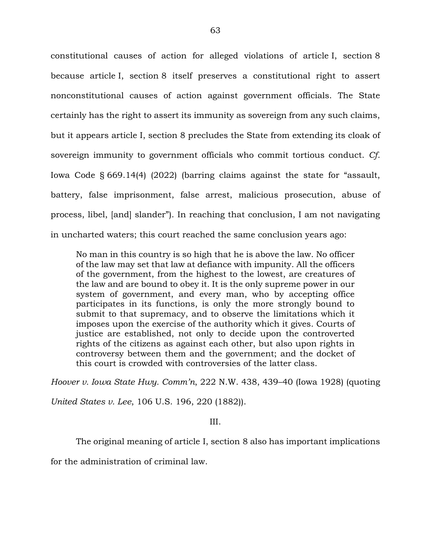constitutional causes of action for alleged violations of article I, section 8 because article I, section 8 itself preserves a constitutional right to assert nonconstitutional causes of action against government officials. The State certainly has the right to assert its immunity as sovereign from any such claims, but it appears article I, section 8 precludes the State from extending its cloak of sovereign immunity to government officials who commit tortious conduct. *Cf.*  Iowa Code § 669.14(4) (2022) (barring claims against the state for "assault, battery, false imprisonment, false arrest, malicious prosecution, abuse of process, libel, [and] slander"). In reaching that conclusion, I am not navigating in uncharted waters; this court reached the same conclusion years ago:

No man in this country is so high that he is above the law. No officer of the law may set that law at defiance with impunity. All the officers of the government, from the highest to the lowest, are creatures of the law and are bound to obey it. It is the only supreme power in our system of government, and every man, who by accepting office participates in its functions, is only the more strongly bound to submit to that supremacy, and to observe the limitations which it imposes upon the exercise of the authority which it gives. Courts of justice are established, not only to decide upon the controverted rights of the citizens as against each other, but also upon rights in controversy between them and the government; and the docket of this court is crowded with controversies of the latter class.

*Hoover v. Iowa State Hwy. Comm'n*, 222 N.W. 438, 439–40 (Iowa 1928) (quoting

*United States v. Lee*, 106 U.S. 196, 220 (1882)).

III.

The original meaning of article I, section 8 also has important implications

for the administration of criminal law.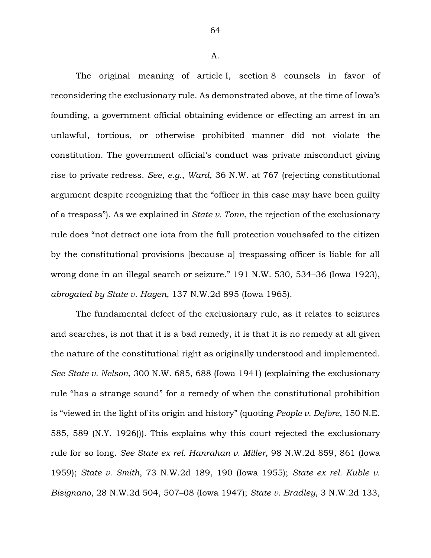A.

The original meaning of article I, section 8 counsels in favor of reconsidering the exclusionary rule. As demonstrated above, at the time of Iowa's founding, a government official obtaining evidence or effecting an arrest in an unlawful, tortious, or otherwise prohibited manner did not violate the constitution. The government official's conduct was private misconduct giving rise to private redress. *See, e.g.*, *Ward*, 36 N.W. at 767 (rejecting constitutional argument despite recognizing that the "officer in this case may have been guilty of a trespass"). As we explained in *State v. Tonn*, the rejection of the exclusionary rule does "not detract one iota from the full protection vouchsafed to the citizen by the constitutional provisions [because a] trespassing officer is liable for all wrong done in an illegal search or seizure." 191 N.W. 530, 534–36 (Iowa 1923), *abrogated by State v. Hagen*, 137 N.W.2d 895 (Iowa 1965).

The fundamental defect of the exclusionary rule, as it relates to seizures and searches, is not that it is a bad remedy, it is that it is no remedy at all given the nature of the constitutional right as originally understood and implemented. *See State v. Nelson*, 300 N.W. 685, 688 (Iowa 1941) (explaining the exclusionary rule "has a strange sound" for a remedy of when the constitutional prohibition is "viewed in the light of its origin and history" (quoting *People v. Defore*, 150 N.E. 585, 589 (N.Y. 1926))). This explains why this court rejected the exclusionary rule for so long. *See State ex rel. Hanrahan v. Miller*, 98 N.W.2d 859, 861 (Iowa 1959); *State v. Smith*, 73 N.W.2d 189, 190 (Iowa 1955); *State ex rel. Kuble v. Bisignano*, 28 N.W.2d 504, 507–08 (Iowa 1947); *State v. Bradley*, 3 N.W.2d 133,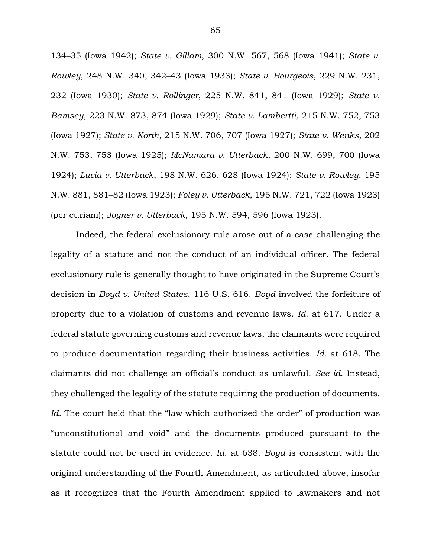134–35 (Iowa 1942); *State v. Gillam*, 300 N.W. 567, 568 (Iowa 1941); *State v. Rowley*, 248 N.W. 340, 342–43 (Iowa 1933); *State v. Bourgeois*, 229 N.W. 231, 232 (Iowa 1930); *State v. Rollinger*, 225 N.W. 841, 841 (Iowa 1929); *State v. Bamsey*, 223 N.W. 873, 874 (Iowa 1929); *State v. Lambertti*, 215 N.W. 752, 753 (Iowa 1927); *State v. Korth*, 215 N.W. 706, 707 (Iowa 1927); *State v. Wenks*, 202 N.W. 753, 753 (Iowa 1925); *McNamara v. Utterback*, 200 N.W. 699, 700 (Iowa 1924); *Lucia v. Utterback*, 198 N.W. 626, 628 (Iowa 1924); *State v. Rowley*, 195 N.W. 881, 881–82 (Iowa 1923); *Foley v. Utterback*, 195 N.W. 721, 722 (Iowa 1923) (per curiam); *Joyner v. Utterback*, 195 N.W. 594, 596 (Iowa 1923).

Indeed, the federal exclusionary rule arose out of a case challenging the legality of a statute and not the conduct of an individual officer. The federal exclusionary rule is generally thought to have originated in the Supreme Court's decision in *Boyd v. United States*, 116 U.S. 616. *Boyd* involved the forfeiture of property due to a violation of customs and revenue laws. *Id.* at 617. Under a federal statute governing customs and revenue laws, the claimants were required to produce documentation regarding their business activities. *Id.* at 618. The claimants did not challenge an official's conduct as unlawful. *See id.* Instead, they challenged the legality of the statute requiring the production of documents. *Id.* The court held that the "law which authorized the order" of production was "unconstitutional and void" and the documents produced pursuant to the statute could not be used in evidence. *Id.* at 638. *Boyd* is consistent with the original understanding of the Fourth Amendment, as articulated above, insofar as it recognizes that the Fourth Amendment applied to lawmakers and not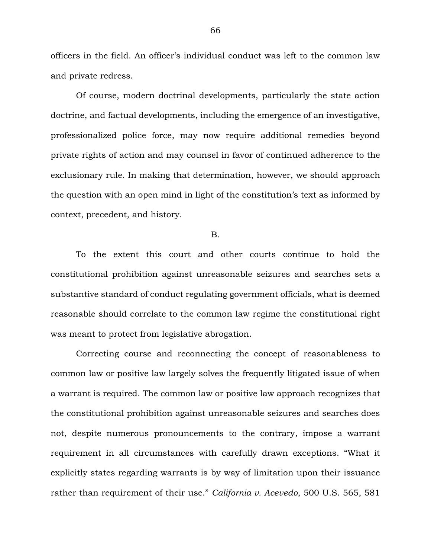officers in the field. An officer's individual conduct was left to the common law and private redress.

Of course, modern doctrinal developments, particularly the state action doctrine, and factual developments, including the emergence of an investigative, professionalized police force, may now require additional remedies beyond private rights of action and may counsel in favor of continued adherence to the exclusionary rule. In making that determination, however, we should approach the question with an open mind in light of the constitution's text as informed by context, precedent, and history.

B.

To the extent this court and other courts continue to hold the constitutional prohibition against unreasonable seizures and searches sets a substantive standard of conduct regulating government officials, what is deemed reasonable should correlate to the common law regime the constitutional right was meant to protect from legislative abrogation.

Correcting course and reconnecting the concept of reasonableness to common law or positive law largely solves the frequently litigated issue of when a warrant is required. The common law or positive law approach recognizes that the constitutional prohibition against unreasonable seizures and searches does not, despite numerous pronouncements to the contrary, impose a warrant requirement in all circumstances with carefully drawn exceptions. "What it explicitly states regarding warrants is by way of limitation upon their issuance rather than requirement of their use." *California v. Acevedo*, 500 U.S. 565, 581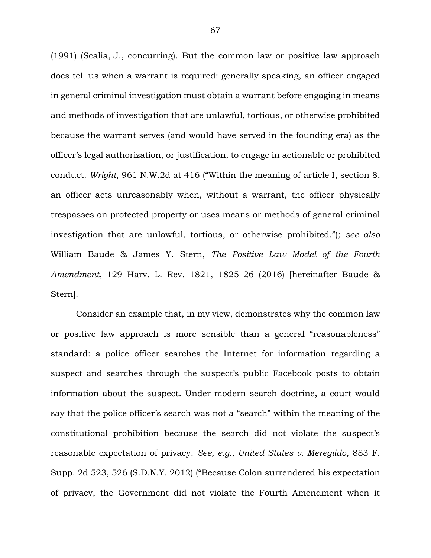(1991) (Scalia, J., concurring). But the common law or positive law approach does tell us when a warrant is required: generally speaking, an officer engaged in general criminal investigation must obtain a warrant before engaging in means and methods of investigation that are unlawful, tortious, or otherwise prohibited because the warrant serves (and would have served in the founding era) as the officer's legal authorization, or justification, to engage in actionable or prohibited conduct. *Wright*, 961 N.W.2d at 416 ("Within the meaning of article I, section 8, an officer acts unreasonably when, without a warrant, the officer physically trespasses on protected property or uses means or methods of general criminal investigation that are unlawful, tortious, or otherwise prohibited."); *see also*  William Baude & James Y. Stern, *The Positive Law Model of the Fourth Amendment*, 129 Harv. L. Rev. 1821, 1825–26 (2016) [hereinafter Baude & Stern].

Consider an example that, in my view, demonstrates why the common law or positive law approach is more sensible than a general "reasonableness" standard: a police officer searches the Internet for information regarding a suspect and searches through the suspect's public Facebook posts to obtain information about the suspect. Under modern search doctrine, a court would say that the police officer's search was not a "search" within the meaning of the constitutional prohibition because the search did not violate the suspect's reasonable expectation of privacy. *See, e.g.*, *United States v. Meregildo*, 883 F. Supp. 2d 523, 526 (S.D.N.Y. 2012) ("Because Colon surrendered his expectation of privacy, the Government did not violate the Fourth Amendment when it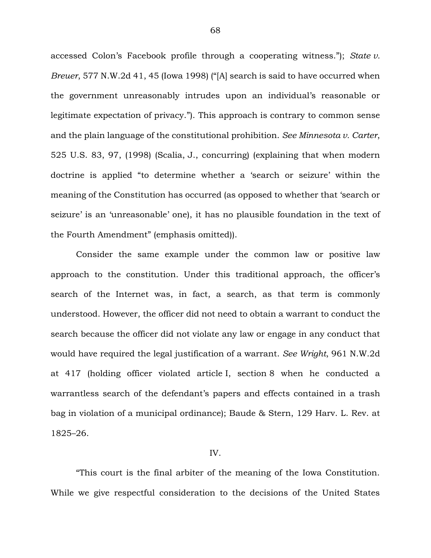accessed Colon's Facebook profile through a cooperating witness."); *State v. Breuer*, 577 N.W.2d 41, 45 (Iowa 1998) ("[A] search is said to have occurred when the government unreasonably intrudes upon an individual's reasonable or legitimate expectation of privacy."). This approach is contrary to common sense and the plain language of the constitutional prohibition. *See Minnesota v. Carter*, 525 U.S. 83, 97, (1998) (Scalia, J., concurring) (explaining that when modern doctrine is applied "to determine whether a 'search or seizure' within the meaning of the Constitution has occurred (as opposed to whether that 'search or seizure' is an 'unreasonable' one), it has no plausible foundation in the text of the Fourth Amendment" (emphasis omitted)).

Consider the same example under the common law or positive law approach to the constitution. Under this traditional approach, the officer's search of the Internet was, in fact, a search, as that term is commonly understood. However, the officer did not need to obtain a warrant to conduct the search because the officer did not violate any law or engage in any conduct that would have required the legal justification of a warrant. *See Wright*, 961 N.W.2d at 417 (holding officer violated article I, section 8 when he conducted a warrantless search of the defendant's papers and effects contained in a trash bag in violation of a municipal ordinance); Baude & Stern, 129 Harv. L. Rev. at 1825–26.

### IV.

"This court is the final arbiter of the meaning of the Iowa Constitution. While we give respectful consideration to the decisions of the United States